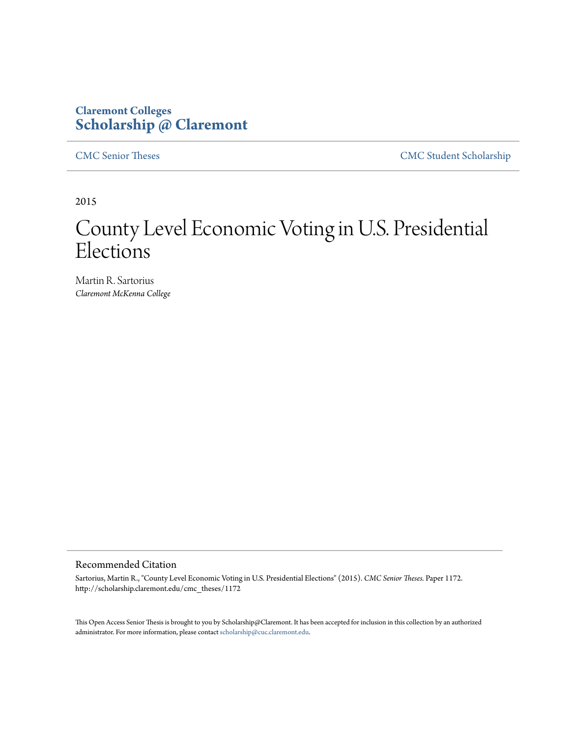# **Claremont Colleges [Scholarship @ Claremont](http://scholarship.claremont.edu)**

[CMC Senior Theses](http://scholarship.claremont.edu/cmc_theses) [CMC Student Scholarship](http://scholarship.claremont.edu/cmc_student)

2015

# County Level Economic Voting in U.S. Presidential Elections

Martin R. Sartorius *Claremont McKenna College*

#### Recommended Citation

Sartorius, Martin R., "County Level Economic Voting in U.S. Presidential Elections" (2015). *CMC Senior Theses.* Paper 1172. http://scholarship.claremont.edu/cmc\_theses/1172

This Open Access Senior Thesis is brought to you by Scholarship@Claremont. It has been accepted for inclusion in this collection by an authorized administrator. For more information, please contact [scholarship@cuc.claremont.edu.](mailto:scholarship@cuc.claremont.edu)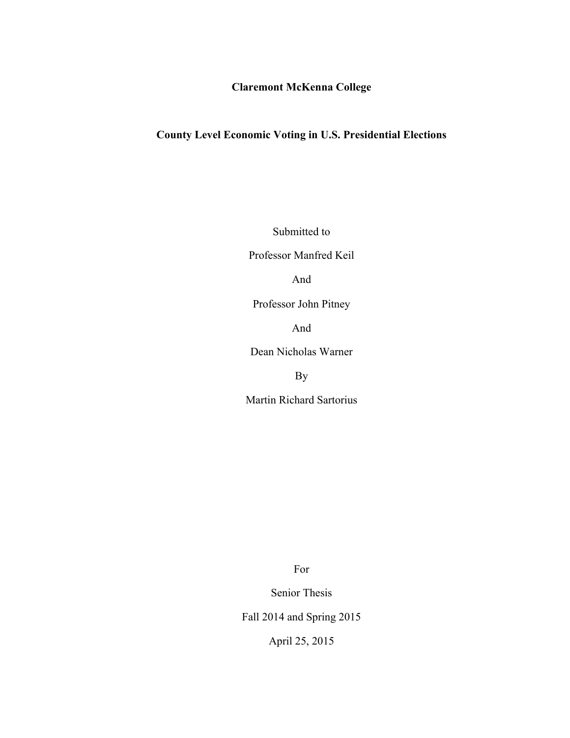### **Claremont McKenna College**

# **County Level Economic Voting in U.S. Presidential Elections**

Submitted to

Professor Manfred Keil

And

Professor John Pitney

And

Dean Nicholas Warner

By

Martin Richard Sartorius

For

Senior Thesis

Fall 2014 and Spring 2015

April 25, 2015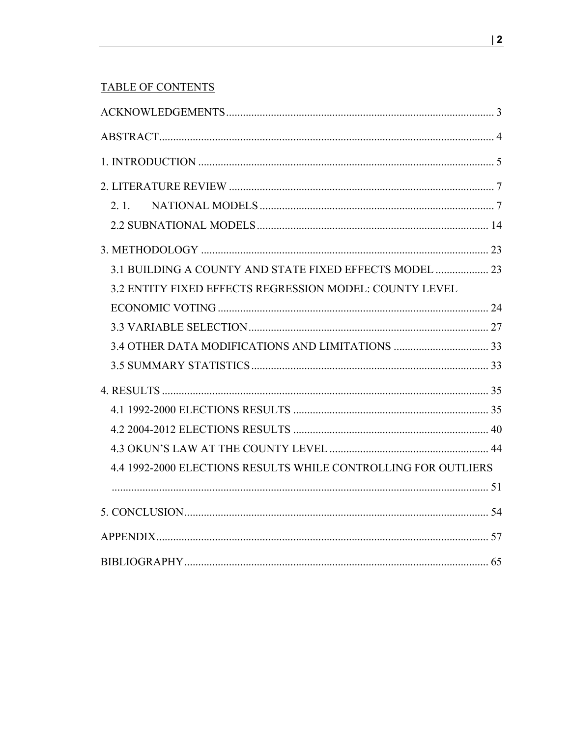# **TABLE OF CONTENTS**

| 3.1 BUILDING A COUNTY AND STATE FIXED EFFECTS MODEL  23        |  |
|----------------------------------------------------------------|--|
| 3.2 ENTITY FIXED EFFECTS REGRESSION MODEL: COUNTY LEVEL        |  |
|                                                                |  |
|                                                                |  |
|                                                                |  |
|                                                                |  |
|                                                                |  |
|                                                                |  |
|                                                                |  |
|                                                                |  |
| 4.4 1992-2000 ELECTIONS RESULTS WHILE CONTROLLING FOR OUTLIERS |  |
|                                                                |  |
|                                                                |  |
|                                                                |  |
|                                                                |  |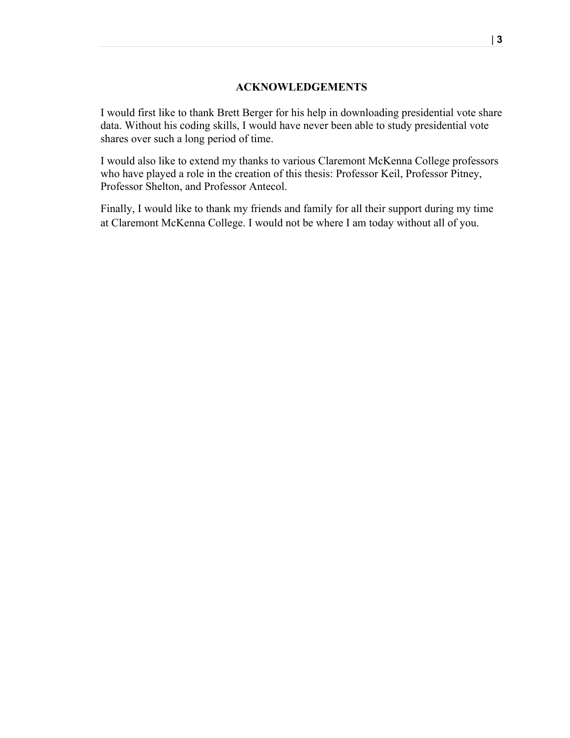#### **ACKNOWLEDGEMENTS**

I would first like to thank Brett Berger for his help in downloading presidential vote share data. Without his coding skills, I would have never been able to study presidential vote shares over such a long period of time.

I would also like to extend my thanks to various Claremont McKenna College professors who have played a role in the creation of this thesis: Professor Keil, Professor Pitney, Professor Shelton, and Professor Antecol.

Finally, I would like to thank my friends and family for all their support during my time at Claremont McKenna College. I would not be where I am today without all of you.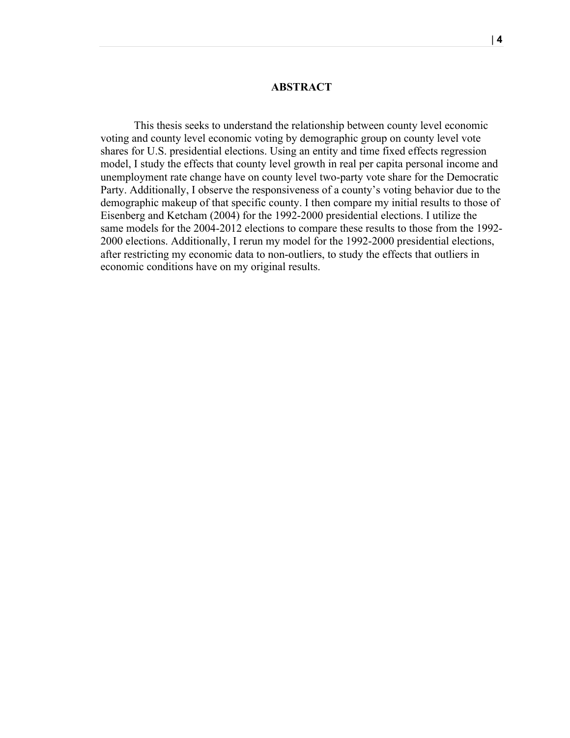#### **ABSTRACT**

This thesis seeks to understand the relationship between county level economic voting and county level economic voting by demographic group on county level vote shares for U.S. presidential elections. Using an entity and time fixed effects regression model, I study the effects that county level growth in real per capita personal income and unemployment rate change have on county level two-party vote share for the Democratic Party. Additionally, I observe the responsiveness of a county's voting behavior due to the demographic makeup of that specific county. I then compare my initial results to those of Eisenberg and Ketcham (2004) for the 1992-2000 presidential elections. I utilize the same models for the 2004-2012 elections to compare these results to those from the 1992- 2000 elections. Additionally, I rerun my model for the 1992-2000 presidential elections, after restricting my economic data to non-outliers, to study the effects that outliers in economic conditions have on my original results.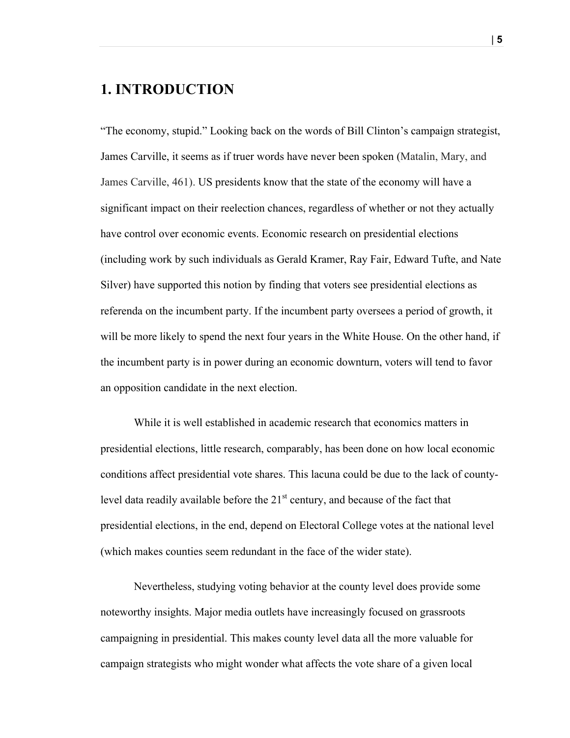# **1. INTRODUCTION**

"The economy, stupid." Looking back on the words of Bill Clinton's campaign strategist, James Carville, it seems as if truer words have never been spoken (Matalin, Mary, and James Carville, 461). US presidents know that the state of the economy will have a significant impact on their reelection chances, regardless of whether or not they actually have control over economic events. Economic research on presidential elections (including work by such individuals as Gerald Kramer, Ray Fair, Edward Tufte, and Nate Silver) have supported this notion by finding that voters see presidential elections as referenda on the incumbent party. If the incumbent party oversees a period of growth, it will be more likely to spend the next four years in the White House. On the other hand, if the incumbent party is in power during an economic downturn, voters will tend to favor an opposition candidate in the next election.

While it is well established in academic research that economics matters in presidential elections, little research, comparably, has been done on how local economic conditions affect presidential vote shares. This lacuna could be due to the lack of countylevel data readily available before the  $21<sup>st</sup>$  century, and because of the fact that presidential elections, in the end, depend on Electoral College votes at the national level (which makes counties seem redundant in the face of the wider state).

Nevertheless, studying voting behavior at the county level does provide some noteworthy insights. Major media outlets have increasingly focused on grassroots campaigning in presidential. This makes county level data all the more valuable for campaign strategists who might wonder what affects the vote share of a given local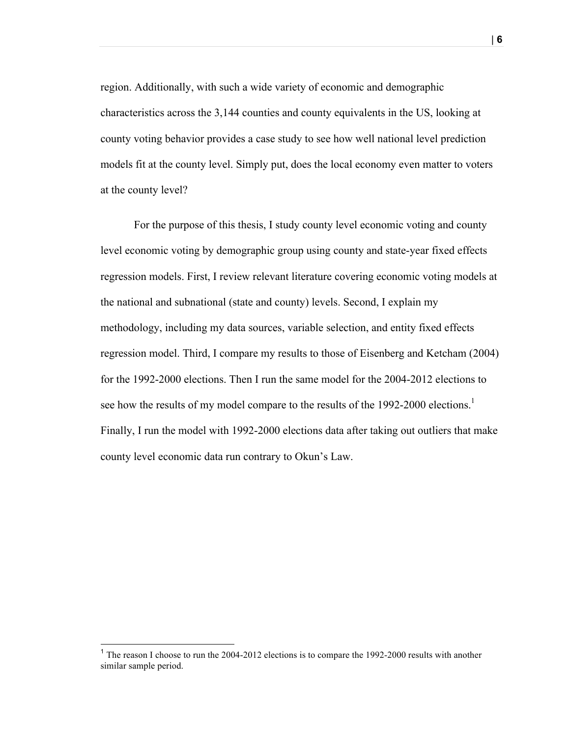region. Additionally, with such a wide variety of economic and demographic characteristics across the 3,144 counties and county equivalents in the US, looking at county voting behavior provides a case study to see how well national level prediction models fit at the county level. Simply put, does the local economy even matter to voters at the county level?

For the purpose of this thesis, I study county level economic voting and county level economic voting by demographic group using county and state-year fixed effects regression models. First, I review relevant literature covering economic voting models at the national and subnational (state and county) levels. Second, I explain my methodology, including my data sources, variable selection, and entity fixed effects regression model. Third, I compare my results to those of Eisenberg and Ketcham (2004) for the 1992-2000 elections. Then I run the same model for the 2004-2012 elections to see how the results of my model compare to the results of the 1992-2000 elections.<sup>1</sup> Finally, I run the model with 1992-2000 elections data after taking out outliers that make county level economic data run contrary to Okun's Law.

 $<sup>1</sup>$  The reason I choose to run the 2004-2012 elections is to compare the 1992-2000 results with another</sup> similar sample period.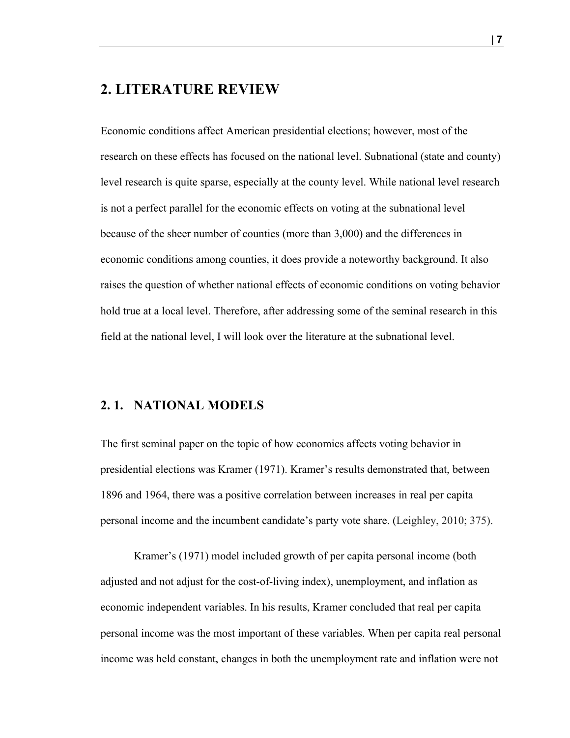### **2. LITERATURE REVIEW**

Economic conditions affect American presidential elections; however, most of the research on these effects has focused on the national level. Subnational (state and county) level research is quite sparse, especially at the county level. While national level research is not a perfect parallel for the economic effects on voting at the subnational level because of the sheer number of counties (more than 3,000) and the differences in economic conditions among counties, it does provide a noteworthy background. It also raises the question of whether national effects of economic conditions on voting behavior hold true at a local level. Therefore, after addressing some of the seminal research in this field at the national level, I will look over the literature at the subnational level.

### **2. 1. NATIONAL MODELS**

The first seminal paper on the topic of how economics affects voting behavior in presidential elections was Kramer (1971). Kramer's results demonstrated that, between 1896 and 1964, there was a positive correlation between increases in real per capita personal income and the incumbent candidate's party vote share. (Leighley, 2010; 375).

Kramer's (1971) model included growth of per capita personal income (both adjusted and not adjust for the cost-of-living index), unemployment, and inflation as economic independent variables. In his results, Kramer concluded that real per capita personal income was the most important of these variables. When per capita real personal income was held constant, changes in both the unemployment rate and inflation were not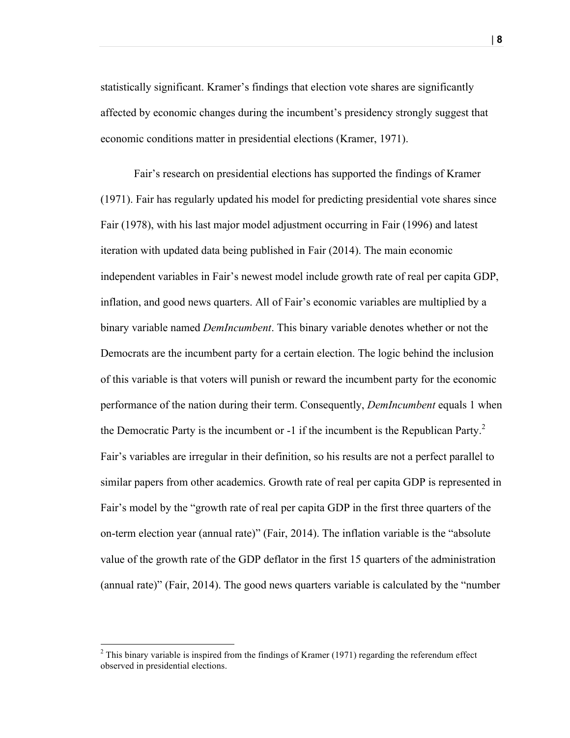statistically significant. Kramer's findings that election vote shares are significantly affected by economic changes during the incumbent's presidency strongly suggest that economic conditions matter in presidential elections (Kramer, 1971).

Fair's research on presidential elections has supported the findings of Kramer (1971). Fair has regularly updated his model for predicting presidential vote shares since Fair (1978), with his last major model adjustment occurring in Fair (1996) and latest iteration with updated data being published in Fair (2014). The main economic independent variables in Fair's newest model include growth rate of real per capita GDP, inflation, and good news quarters. All of Fair's economic variables are multiplied by a binary variable named *DemIncumbent*. This binary variable denotes whether or not the Democrats are the incumbent party for a certain election. The logic behind the inclusion of this variable is that voters will punish or reward the incumbent party for the economic performance of the nation during their term. Consequently, *DemIncumbent* equals 1 when the Democratic Party is the incumbent or  $-1$  if the incumbent is the Republican Party.<sup>2</sup> Fair's variables are irregular in their definition, so his results are not a perfect parallel to similar papers from other academics. Growth rate of real per capita GDP is represented in Fair's model by the "growth rate of real per capita GDP in the first three quarters of the on-term election year (annual rate)" (Fair, 2014). The inflation variable is the "absolute value of the growth rate of the GDP deflator in the first 15 quarters of the administration (annual rate)" (Fair, 2014). The good news quarters variable is calculated by the "number

 $2$  This binary variable is inspired from the findings of Kramer (1971) regarding the referendum effect observed in presidential elections.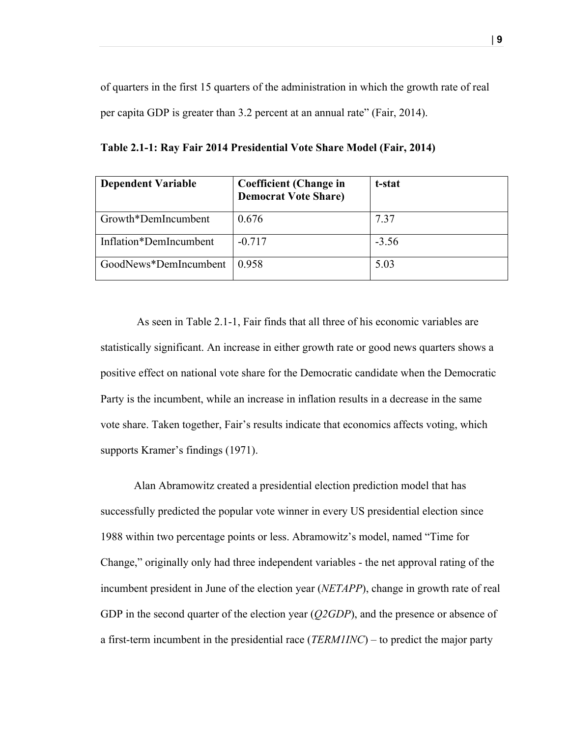of quarters in the first 15 quarters of the administration in which the growth rate of real per capita GDP is greater than 3.2 percent at an annual rate" (Fair, 2014).

| <b>Dependent Variable</b> | <b>Coefficient (Change in</b><br><b>Democrat Vote Share)</b> | t-stat  |
|---------------------------|--------------------------------------------------------------|---------|
| Growth*DemIncumbent       | 0.676                                                        | 7.37    |
| Inflation*DemIncumbent    | $-0.717$                                                     | $-3.56$ |
| GoodNews*DemIncumbent     | 0.958                                                        | 5.03    |

**Table 2.1-1: Ray Fair 2014 Presidential Vote Share Model (Fair, 2014)**

As seen in Table 2.1-1, Fair finds that all three of his economic variables are statistically significant. An increase in either growth rate or good news quarters shows a positive effect on national vote share for the Democratic candidate when the Democratic Party is the incumbent, while an increase in inflation results in a decrease in the same vote share. Taken together, Fair's results indicate that economics affects voting, which supports Kramer's findings (1971).

Alan Abramowitz created a presidential election prediction model that has successfully predicted the popular vote winner in every US presidential election since 1988 within two percentage points or less. Abramowitz's model, named "Time for Change," originally only had three independent variables - the net approval rating of the incumbent president in June of the election year (*NETAPP*), change in growth rate of real GDP in the second quarter of the election year (*Q2GDP*), and the presence or absence of a first-term incumbent in the presidential race (*TERM1INC*) – to predict the major party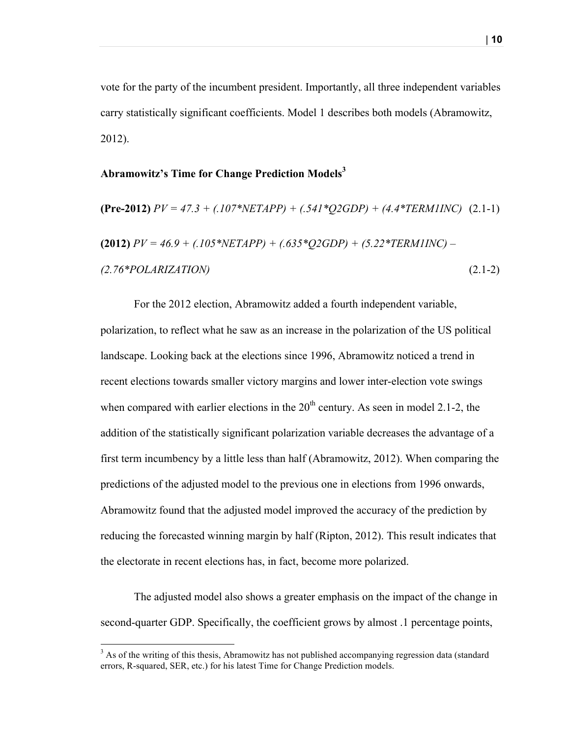vote for the party of the incumbent president. Importantly, all three independent variables carry statistically significant coefficients. Model 1 describes both models (Abramowitz, 2012).

#### **Abramowitz's Time for Change Prediction Models<sup>3</sup>**

$$
(\text{Pre-2012}) \, PV = 47.3 + (.107 * NETAPP) + (.541 * Q2GDP) + (4.4 * TERMIINC) \quad (2.1-1)
$$
\n
$$
(2012) \, PV = 46.9 + (.105 * NETAPP) + (.635 * Q2GDP) + (5.22 * TERMIINC) -
$$
\n
$$
(2.76 * POLARIZATION) \tag{2.1-2}
$$

For the 2012 election, Abramowitz added a fourth independent variable, polarization, to reflect what he saw as an increase in the polarization of the US political landscape. Looking back at the elections since 1996, Abramowitz noticed a trend in recent elections towards smaller victory margins and lower inter-election vote swings when compared with earlier elections in the  $20<sup>th</sup>$  century. As seen in model 2.1-2, the addition of the statistically significant polarization variable decreases the advantage of a first term incumbency by a little less than half (Abramowitz, 2012). When comparing the predictions of the adjusted model to the previous one in elections from 1996 onwards, Abramowitz found that the adjusted model improved the accuracy of the prediction by reducing the forecasted winning margin by half (Ripton, 2012). This result indicates that the electorate in recent elections has, in fact, become more polarized.

The adjusted model also shows a greater emphasis on the impact of the change in second-quarter GDP. Specifically, the coefficient grows by almost .1 percentage points,

 $3$  As of the writing of this thesis, Abramowitz has not published accompanying regression data (standard errors, R-squared, SER, etc.) for his latest Time for Change Prediction models.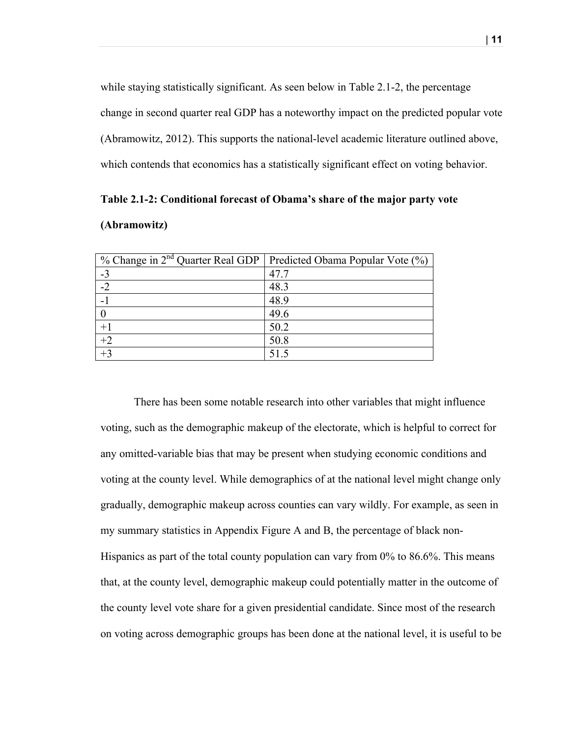while staying statistically significant. As seen below in Table 2.1-2, the percentage change in second quarter real GDP has a noteworthy impact on the predicted popular vote (Abramowitz, 2012). This supports the national-level academic literature outlined above, which contends that economics has a statistically significant effect on voting behavior.

**Table 2.1-2: Conditional forecast of Obama's share of the major party vote (Abramowitz)**

| % Change in $2^{nd}$ Quarter Real GDP   Predicted Obama Popular Vote $(\%)$ |      |
|-----------------------------------------------------------------------------|------|
| $-3$                                                                        | 47.7 |
| $-2$                                                                        | 48.3 |
|                                                                             | 48.9 |
|                                                                             | 49.6 |
| $+1$                                                                        | 50.2 |
| $\frac{+2}{+3}$                                                             | 50.8 |
|                                                                             | 51.5 |

There has been some notable research into other variables that might influence voting, such as the demographic makeup of the electorate, which is helpful to correct for any omitted-variable bias that may be present when studying economic conditions and voting at the county level. While demographics of at the national level might change only gradually, demographic makeup across counties can vary wildly. For example, as seen in my summary statistics in Appendix Figure A and B, the percentage of black non-Hispanics as part of the total county population can vary from 0% to 86.6%. This means that, at the county level, demographic makeup could potentially matter in the outcome of the county level vote share for a given presidential candidate. Since most of the research on voting across demographic groups has been done at the national level, it is useful to be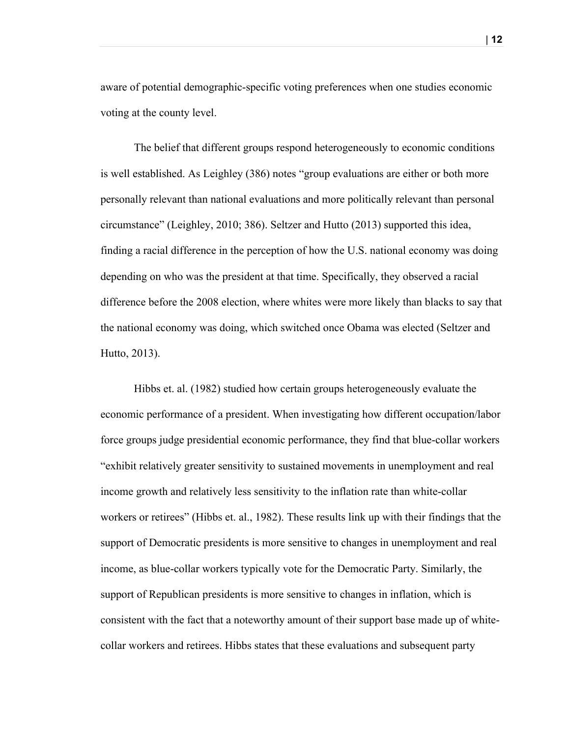aware of potential demographic-specific voting preferences when one studies economic voting at the county level.

The belief that different groups respond heterogeneously to economic conditions is well established. As Leighley (386) notes "group evaluations are either or both more personally relevant than national evaluations and more politically relevant than personal circumstance" (Leighley, 2010; 386). Seltzer and Hutto (2013) supported this idea, finding a racial difference in the perception of how the U.S. national economy was doing depending on who was the president at that time. Specifically, they observed a racial difference before the 2008 election, where whites were more likely than blacks to say that the national economy was doing, which switched once Obama was elected (Seltzer and Hutto, 2013).

Hibbs et. al. (1982) studied how certain groups heterogeneously evaluate the economic performance of a president. When investigating how different occupation/labor force groups judge presidential economic performance, they find that blue-collar workers "exhibit relatively greater sensitivity to sustained movements in unemployment and real income growth and relatively less sensitivity to the inflation rate than white-collar workers or retirees" (Hibbs et. al., 1982). These results link up with their findings that the support of Democratic presidents is more sensitive to changes in unemployment and real income, as blue-collar workers typically vote for the Democratic Party. Similarly, the support of Republican presidents is more sensitive to changes in inflation, which is consistent with the fact that a noteworthy amount of their support base made up of whitecollar workers and retirees. Hibbs states that these evaluations and subsequent party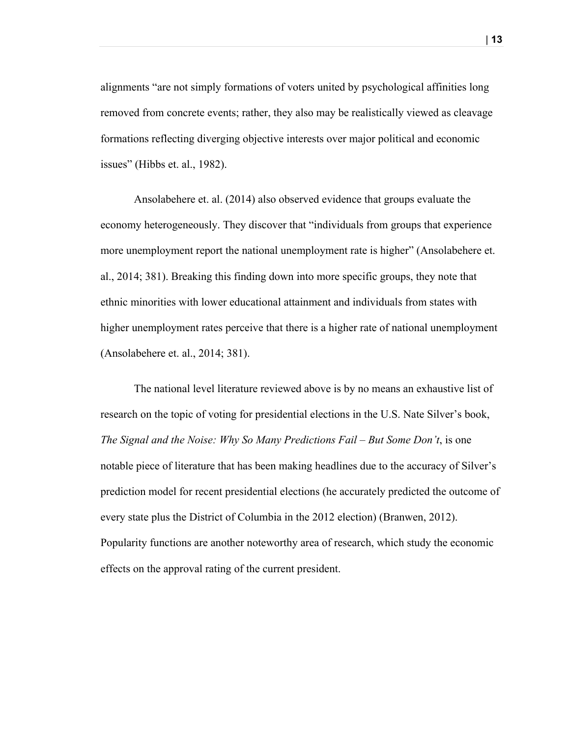alignments "are not simply formations of voters united by psychological affinities long removed from concrete events; rather, they also may be realistically viewed as cleavage formations reflecting diverging objective interests over major political and economic issues" (Hibbs et. al., 1982).

Ansolabehere et. al. (2014) also observed evidence that groups evaluate the economy heterogeneously. They discover that "individuals from groups that experience more unemployment report the national unemployment rate is higher" (Ansolabehere et. al., 2014; 381). Breaking this finding down into more specific groups, they note that ethnic minorities with lower educational attainment and individuals from states with higher unemployment rates perceive that there is a higher rate of national unemployment (Ansolabehere et. al., 2014; 381).

The national level literature reviewed above is by no means an exhaustive list of research on the topic of voting for presidential elections in the U.S. Nate Silver's book, *The Signal and the Noise: Why So Many Predictions Fail – But Some Don't*, is one notable piece of literature that has been making headlines due to the accuracy of Silver's prediction model for recent presidential elections (he accurately predicted the outcome of every state plus the District of Columbia in the 2012 election) (Branwen, 2012). Popularity functions are another noteworthy area of research, which study the economic effects on the approval rating of the current president.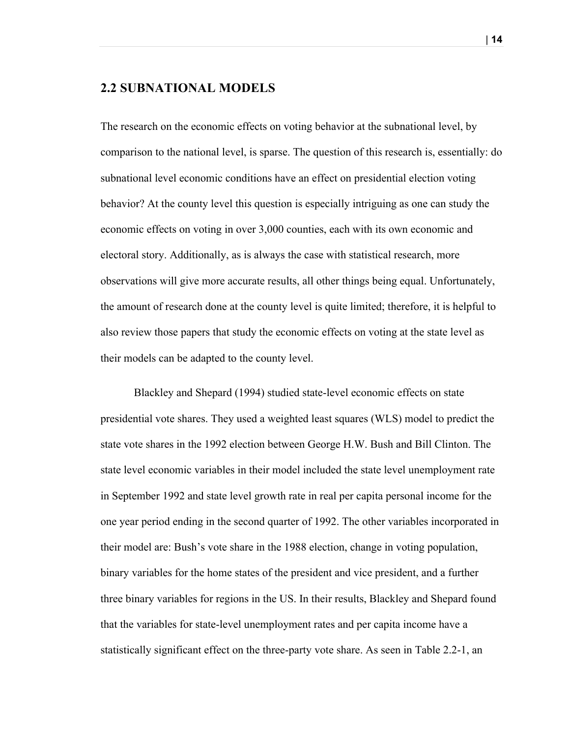#### **2.2 SUBNATIONAL MODELS**

The research on the economic effects on voting behavior at the subnational level, by comparison to the national level, is sparse. The question of this research is, essentially: do subnational level economic conditions have an effect on presidential election voting behavior? At the county level this question is especially intriguing as one can study the economic effects on voting in over 3,000 counties, each with its own economic and electoral story. Additionally, as is always the case with statistical research, more observations will give more accurate results, all other things being equal. Unfortunately, the amount of research done at the county level is quite limited; therefore, it is helpful to also review those papers that study the economic effects on voting at the state level as their models can be adapted to the county level.

Blackley and Shepard (1994) studied state-level economic effects on state presidential vote shares. They used a weighted least squares (WLS) model to predict the state vote shares in the 1992 election between George H.W. Bush and Bill Clinton. The state level economic variables in their model included the state level unemployment rate in September 1992 and state level growth rate in real per capita personal income for the one year period ending in the second quarter of 1992. The other variables incorporated in their model are: Bush's vote share in the 1988 election, change in voting population, binary variables for the home states of the president and vice president, and a further three binary variables for regions in the US. In their results, Blackley and Shepard found that the variables for state-level unemployment rates and per capita income have a statistically significant effect on the three-party vote share. As seen in Table 2.2-1, an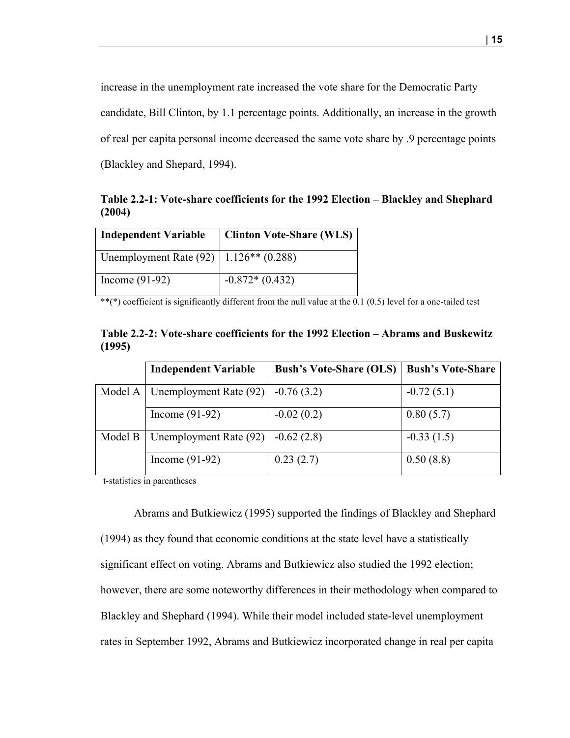increase in the unemployment rate increased the vote share for the Democratic Party candidate, Bill Clinton, by 1.1 percentage points. Additionally, an increase in the growth of real per capita personal income decreased the same vote share by .9 percentage points (Blackley and Shepard, 1994).

**Table 2.2-1: Vote-share coefficients for the 1992 Election – Blackley and Shephard (2004)**

| <b>Independent Variable</b>                              | <b>Clinton Vote-Share (WLS)</b> |
|----------------------------------------------------------|---------------------------------|
| Unemployment Rate $(92)$   1.126 <sup>**</sup> $(0.288)$ |                                 |
| Income $(91-92)$                                         | $-0.872*(0.432)$                |

 $^{**}$ (\*) coefficient is significantly different from the null value at the 0.1 (0.5) level for a one-tailed test

|        |  | Table 2.2-2: Vote-share coefficients for the 1992 Election – Abrams and Buskewitz |
|--------|--|-----------------------------------------------------------------------------------|
| (1995) |  |                                                                                   |

|         | <b>Independent Variable</b> | <b>Bush's Vote-Share (OLS)</b> | <b>Bush's Vote-Share</b> |
|---------|-----------------------------|--------------------------------|--------------------------|
| Model A | Unemployment Rate (92)      | $-0.76(3.2)$                   | $-0.72(5.1)$             |
|         | Income $(91-92)$            | $-0.02(0.2)$                   | 0.80(5.7)                |
| Model B | Unemployment Rate (92)      | $-0.62(2.8)$                   | $-0.33(1.5)$             |
|         | Income $(91-92)$            | 0.23(2.7)                      | 0.50(8.8)                |

t-statistics in parentheses

Abrams and Butkiewicz (1995) supported the findings of Blackley and Shephard (1994) as they found that economic conditions at the state level have a statistically significant effect on voting. Abrams and Butkiewicz also studied the 1992 election; however, there are some noteworthy differences in their methodology when compared to Blackley and Shephard (1994). While their model included state-level unemployment rates in September 1992, Abrams and Butkiewicz incorporated change in real per capita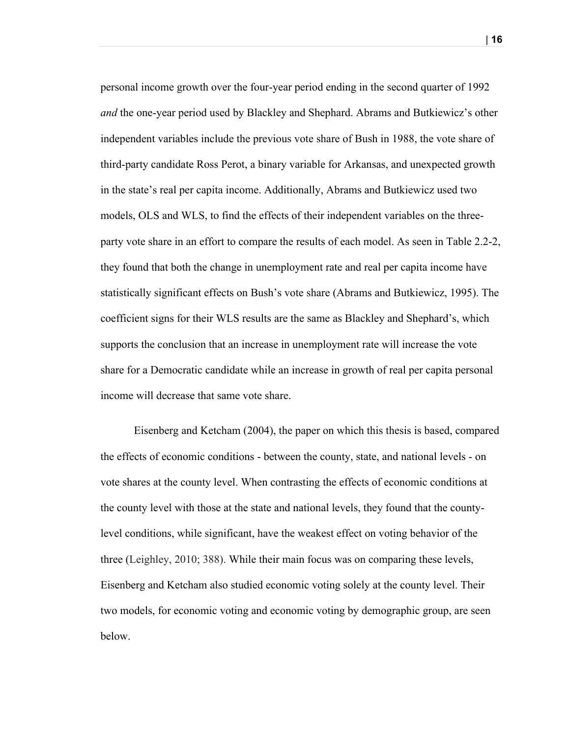personal income growth over the four-year period ending in the second quarter of 1992 *and* the one-year period used by Blackley and Shephard. Abrams and Butkiewicz's other independent variables include the previous vote share of Bush in 1988, the vote share of third-party candidate Ross Perot, a binary variable for Arkansas, and unexpected growth in the state's real per capita income. Additionally, Abrams and Butkiewicz used two models, OLS and WLS, to find the effects of their independent variables on the threeparty vote share in an effort to compare the results of each model. As seen in Table 2.2-2, they found that both the change in unemployment rate and real per capita income have statistically significant effects on Bush's vote share (Abrams and Butkiewicz, 1995). The coefficient signs for their WLS results are the same as Blackley and Shephard's, which supports the conclusion that an increase in unemployment rate will increase the vote share for a Democratic candidate while an increase in growth of real per capita personal income will decrease that same vote share.

Eisenberg and Ketcham (2004), the paper on which this thesis is based, compared the effects of economic conditions - between the county, state, and national levels - on vote shares at the county level. When contrasting the effects of economic conditions at the county level with those at the state and national levels, they found that the countylevel conditions, while significant, have the weakest effect on voting behavior of the three (Leighley, 2010; 388). While their main focus was on comparing these levels, Eisenberg and Ketcham also studied economic voting solely at the county level. Their two models, for economic voting and economic voting by demographic group, are seen below.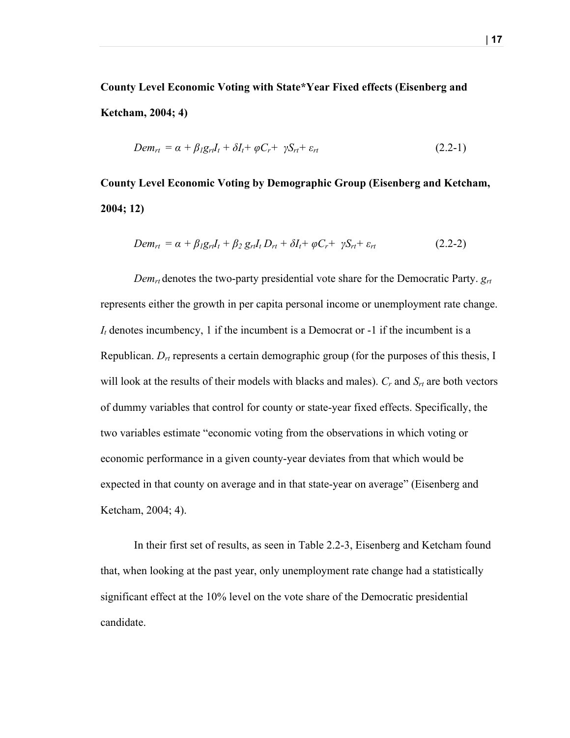**County Level Economic Voting with State\*Year Fixed effects (Eisenberg and Ketcham, 2004; 4)**

$$
Dem_{rt} = \alpha + \beta_1 g_{rt} I_t + \delta I_t + \varphi C_r + \gamma S_{rt} + \varepsilon_{rt}
$$
\n(2.2-1)

**County Level Economic Voting by Demographic Group (Eisenberg and Ketcham, 2004; 12)**

$$
Dem_{rt} = \alpha + \beta_1 g_{rt} I_t + \beta_2 g_{rt} I_t D_{rt} + \delta I_t + \varphi C_r + \gamma S_{rt} + \varepsilon_{rt}
$$
\n(2.2-2)

*Demrt* denotes the two-party presidential vote share for the Democratic Party. *grt* represents either the growth in per capita personal income or unemployment rate change.  $I_t$  denotes incumbency, 1 if the incumbent is a Democrat or  $-1$  if the incumbent is a Republican. *Drt* represents a certain demographic group (for the purposes of this thesis, I will look at the results of their models with blacks and males).  $C_r$  and  $S_{rt}$  are both vectors of dummy variables that control for county or state-year fixed effects. Specifically, the two variables estimate "economic voting from the observations in which voting or economic performance in a given county-year deviates from that which would be expected in that county on average and in that state-year on average" (Eisenberg and Ketcham, 2004; 4).

In their first set of results, as seen in Table 2.2-3, Eisenberg and Ketcham found that, when looking at the past year, only unemployment rate change had a statistically significant effect at the 10% level on the vote share of the Democratic presidential candidate.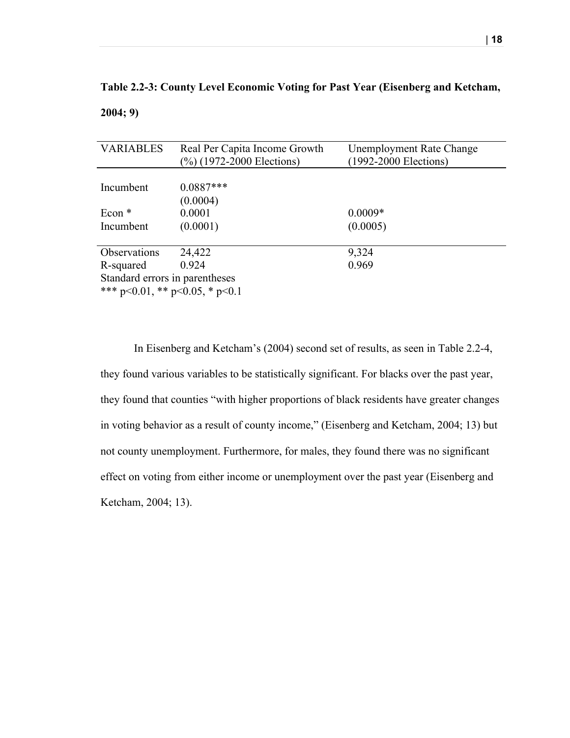| Table 2.2-3: County Level Economic Voting for Past Year (Eisenberg and Ketcham, |  |  |  |
|---------------------------------------------------------------------------------|--|--|--|
| 2004; 9)                                                                        |  |  |  |

| <b>VARIABLES</b>               | Real Per Capita Income Growth | <b>Unemployment Rate Change</b> |  |  |
|--------------------------------|-------------------------------|---------------------------------|--|--|
|                                | (%) (1972-2000 Elections)     | (1992-2000 Elections)           |  |  |
|                                |                               |                                 |  |  |
| Incumbent                      | $0.0887***$                   |                                 |  |  |
|                                | (0.0004)                      |                                 |  |  |
| Econ $*$                       | 0.0001                        | $0.0009*$                       |  |  |
| Incumbent                      | (0.0001)                      | (0.0005)                        |  |  |
|                                |                               |                                 |  |  |
| Observations                   | 24,422                        | 9,324                           |  |  |
| R-squared                      | 0.924                         | 0.969                           |  |  |
| Standard errors in parentheses |                               |                                 |  |  |
| *** p<0.01, ** p<0.05, * p<0.1 |                               |                                 |  |  |

In Eisenberg and Ketcham's (2004) second set of results, as seen in Table 2.2-4, they found various variables to be statistically significant. For blacks over the past year, they found that counties "with higher proportions of black residents have greater changes in voting behavior as a result of county income," (Eisenberg and Ketcham, 2004; 13) but not county unemployment. Furthermore, for males, they found there was no significant effect on voting from either income or unemployment over the past year (Eisenberg and Ketcham, 2004; 13).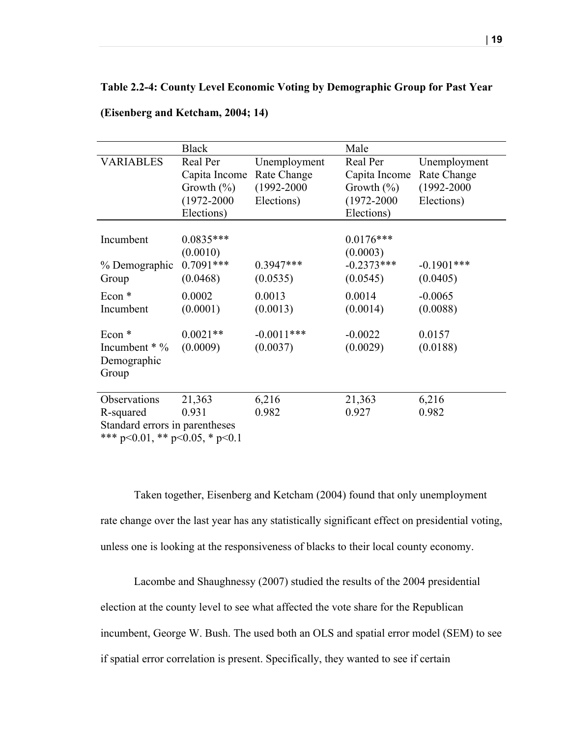#### **Table 2.2-4: County Level Economic Voting by Demographic Group for Past Year**

|                                        | <b>Black</b>    |                 | Male            |                 |
|----------------------------------------|-----------------|-----------------|-----------------|-----------------|
| <b>VARIABLES</b>                       | Real Per        | Unemployment    | Real Per        | Unemployment    |
|                                        | Capita Income   | Rate Change     | Capita Income   | Rate Change     |
|                                        | Growth $(\%)$   | $(1992 - 2000)$ | Growth $(\%)$   | $(1992 - 2000)$ |
|                                        | $(1972 - 2000)$ | Elections)      | $(1972 - 2000)$ | Elections)      |
|                                        | Elections)      |                 | Elections)      |                 |
|                                        |                 |                 |                 |                 |
| Incumbent                              | $0.0835***$     |                 | $0.0176***$     |                 |
|                                        | (0.0010)        |                 | (0.0003)        |                 |
| % Demographic                          | $0.7091***$     | $0.3947***$     | $-0.2373***$    | $-0.1901$ ***   |
| Group                                  | (0.0468)        | (0.0535)        | (0.0545)        | (0.0405)        |
| Econ $*$                               | 0.0002          | 0.0013          | 0.0014          | $-0.0065$       |
| Incumbent                              | (0.0001)        | (0.0013)        | (0.0014)        | (0.0088)        |
| Econ <sup>*</sup>                      | $0.0021**$      | $-0.0011***$    | $-0.0022$       | 0.0157          |
| Incumbent $*$ %                        | (0.0009)        | (0.0037)        | (0.0029)        | (0.0188)        |
| Demographic                            |                 |                 |                 |                 |
| Group                                  |                 |                 |                 |                 |
|                                        |                 |                 |                 |                 |
| Observations                           | 21,363          | 6,216           | 21,363          | 6,216           |
| R-squared                              | 0.931           | 0.982           | 0.927           | 0.982           |
| Standard errors in parentheses         |                 |                 |                 |                 |
| *** $p<0.01$ , ** $p<0.05$ , * $p<0.1$ |                 |                 |                 |                 |

#### **(Eisenberg and Ketcham, 2004; 14)**

Taken together, Eisenberg and Ketcham (2004) found that only unemployment rate change over the last year has any statistically significant effect on presidential voting, unless one is looking at the responsiveness of blacks to their local county economy.

Lacombe and Shaughnessy (2007) studied the results of the 2004 presidential election at the county level to see what affected the vote share for the Republican incumbent, George W. Bush. The used both an OLS and spatial error model (SEM) to see if spatial error correlation is present. Specifically, they wanted to see if certain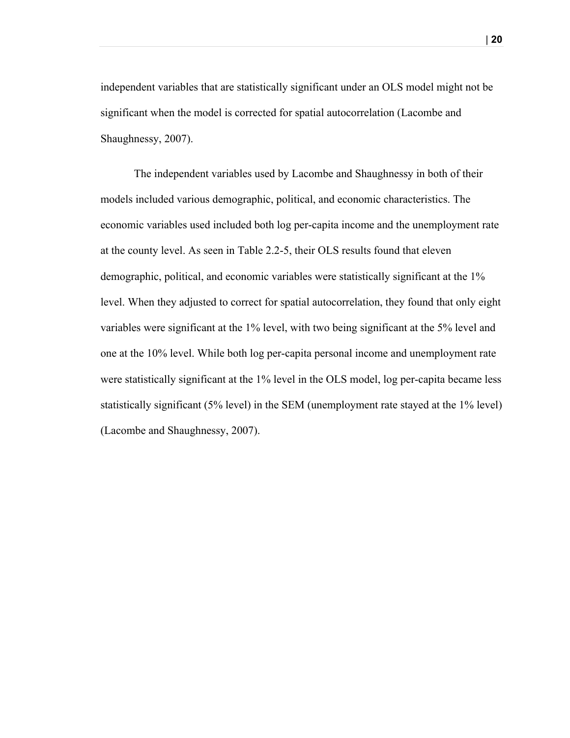independent variables that are statistically significant under an OLS model might not be significant when the model is corrected for spatial autocorrelation (Lacombe and Shaughnessy, 2007).

The independent variables used by Lacombe and Shaughnessy in both of their models included various demographic, political, and economic characteristics. The economic variables used included both log per-capita income and the unemployment rate at the county level. As seen in Table 2.2-5, their OLS results found that eleven demographic, political, and economic variables were statistically significant at the 1% level. When they adjusted to correct for spatial autocorrelation, they found that only eight variables were significant at the 1% level, with two being significant at the 5% level and one at the 10% level. While both log per-capita personal income and unemployment rate were statistically significant at the 1% level in the OLS model, log per-capita became less statistically significant (5% level) in the SEM (unemployment rate stayed at the 1% level) (Lacombe and Shaughnessy, 2007).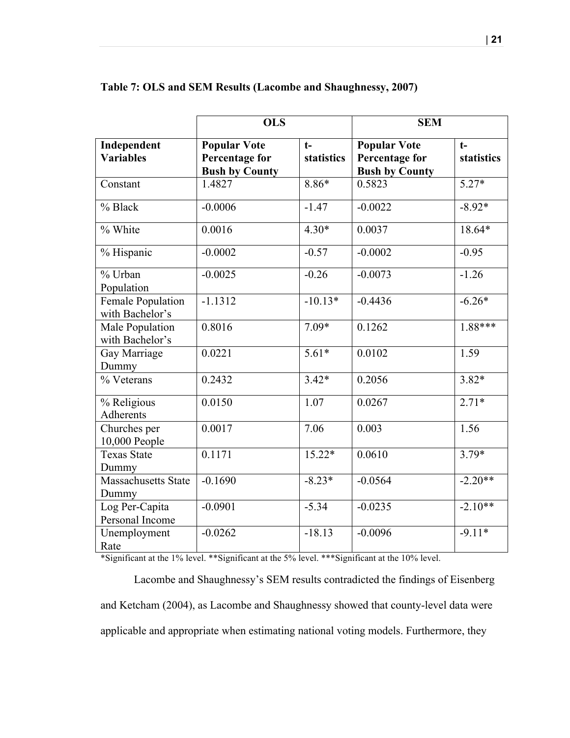|                                      | <b>OLS</b>                                                            |                    | <b>SEM</b>                                                            |                    |
|--------------------------------------|-----------------------------------------------------------------------|--------------------|-----------------------------------------------------------------------|--------------------|
| Independent<br><b>Variables</b>      | <b>Popular Vote</b><br><b>Percentage for</b><br><b>Bush by County</b> | $t-$<br>statistics | <b>Popular Vote</b><br><b>Percentage for</b><br><b>Bush by County</b> | $t-$<br>statistics |
| Constant                             | 1.4827                                                                | $8.86*$            | 0.5823                                                                | $5.27*$            |
| % Black                              | $-0.0006$                                                             | $-1.47$            | $-0.0022$                                                             | $-8.92*$           |
| % White                              | 0.0016                                                                | $4.30*$            | 0.0037                                                                | 18.64*             |
| % Hispanic                           | $-0.0002$                                                             | $-0.57$            | $-0.0002$                                                             | $-0.95$            |
| % Urban<br>Population                | $-0.0025$                                                             | $-0.26$            | $-0.0073$                                                             | $-1.26$            |
| Female Population<br>with Bachelor's | $-1.1312$                                                             | $-10.13*$          | $-0.4436$                                                             | $-6.26*$           |
| Male Population<br>with Bachelor's   | 0.8016                                                                | $7.09*$            | 0.1262                                                                | $1.88***$          |
| Gay Marriage<br>Dummy                | 0.0221                                                                | $5.61*$            | 0.0102                                                                | 1.59               |
| % Veterans                           | 0.2432                                                                | $3.42*$            | 0.2056                                                                | $3.82*$            |
| % Religious<br><b>Adherents</b>      | 0.0150                                                                | 1.07               | 0.0267                                                                | $2.71*$            |
| Churches per<br>10,000 People        | 0.0017                                                                | 7.06               | 0.003                                                                 | 1.56               |
| <b>Texas State</b><br>Dummy          | 0.1171                                                                | $15.22*$           | 0.0610                                                                | $3.79*$            |
| Massachusetts State<br>Dummy         | $-0.1690$                                                             | $-8.23*$           | $-0.0564$                                                             | $-2.20**$          |
| Log Per-Capita<br>Personal Income    | $-0.0901$                                                             | $-5.34$            | $-0.0235$                                                             | $-2.10**$          |
| Unemployment<br>Rate                 | $-0.0262$                                                             | $-18.13$           | $-0.0096$                                                             | $-9.11*$           |

#### **Table 7: OLS and SEM Results (Lacombe and Shaughnessy, 2007)**

\*Significant at the 1% level. \*\*Significant at the 5% level. \*\*\*Significant at the 10% level.

Lacombe and Shaughnessy's SEM results contradicted the findings of Eisenberg and Ketcham (2004), as Lacombe and Shaughnessy showed that county-level data were applicable and appropriate when estimating national voting models. Furthermore, they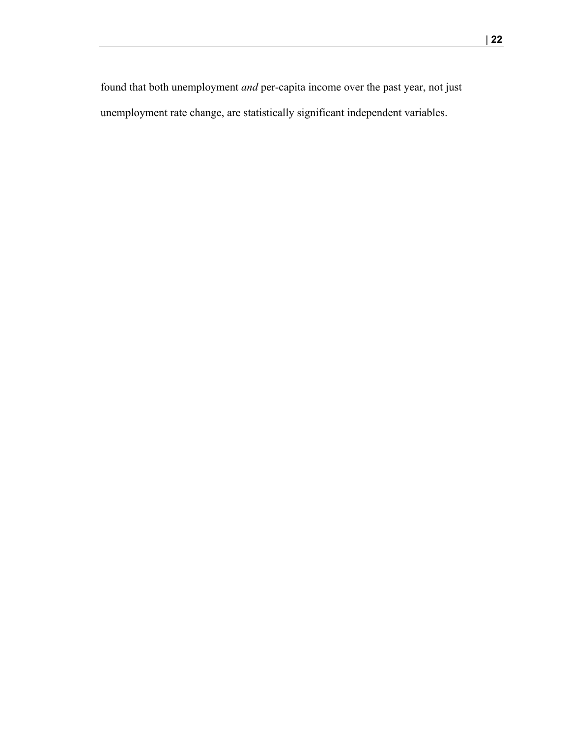found that both unemployment *and* per-capita income over the past year, not just unemployment rate change, are statistically significant independent variables.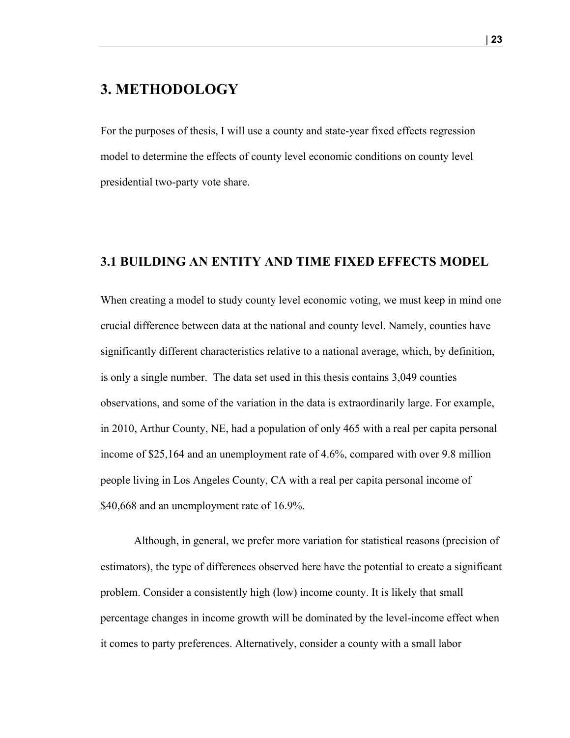# **3. METHODOLOGY**

For the purposes of thesis, I will use a county and state-year fixed effects regression model to determine the effects of county level economic conditions on county level presidential two-party vote share.

### **3.1 BUILDING AN ENTITY AND TIME FIXED EFFECTS MODEL**

When creating a model to study county level economic voting, we must keep in mind one crucial difference between data at the national and county level. Namely, counties have significantly different characteristics relative to a national average, which, by definition, is only a single number. The data set used in this thesis contains 3,049 counties observations, and some of the variation in the data is extraordinarily large. For example, in 2010, Arthur County, NE, had a population of only 465 with a real per capita personal income of \$25,164 and an unemployment rate of 4.6%, compared with over 9.8 million people living in Los Angeles County, CA with a real per capita personal income of \$40,668 and an unemployment rate of 16.9%.

Although, in general, we prefer more variation for statistical reasons (precision of estimators), the type of differences observed here have the potential to create a significant problem. Consider a consistently high (low) income county. It is likely that small percentage changes in income growth will be dominated by the level-income effect when it comes to party preferences. Alternatively, consider a county with a small labor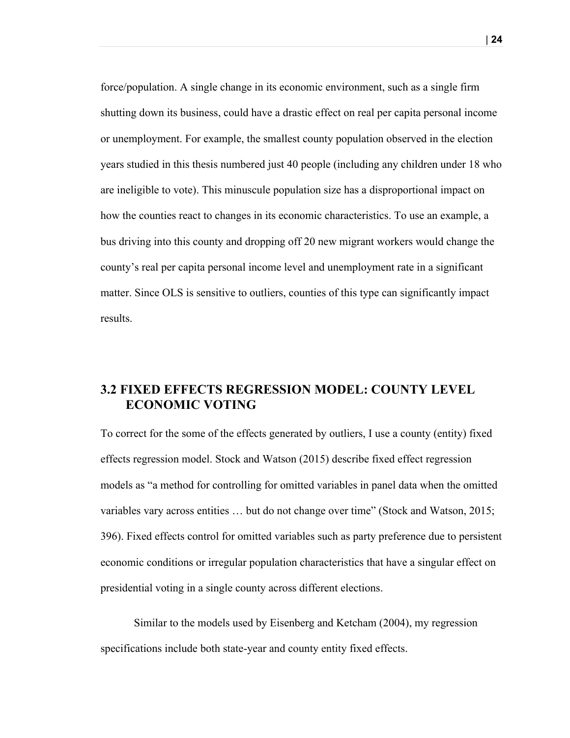force/population. A single change in its economic environment, such as a single firm shutting down its business, could have a drastic effect on real per capita personal income or unemployment. For example, the smallest county population observed in the election years studied in this thesis numbered just 40 people (including any children under 18 who are ineligible to vote). This minuscule population size has a disproportional impact on how the counties react to changes in its economic characteristics. To use an example, a bus driving into this county and dropping off 20 new migrant workers would change the county's real per capita personal income level and unemployment rate in a significant matter. Since OLS is sensitive to outliers, counties of this type can significantly impact results.

### **3.2 FIXED EFFECTS REGRESSION MODEL: COUNTY LEVEL ECONOMIC VOTING**

To correct for the some of the effects generated by outliers, I use a county (entity) fixed effects regression model. Stock and Watson (2015) describe fixed effect regression models as "a method for controlling for omitted variables in panel data when the omitted variables vary across entities … but do not change over time" (Stock and Watson, 2015; 396). Fixed effects control for omitted variables such as party preference due to persistent economic conditions or irregular population characteristics that have a singular effect on presidential voting in a single county across different elections.

Similar to the models used by Eisenberg and Ketcham (2004), my regression specifications include both state-year and county entity fixed effects.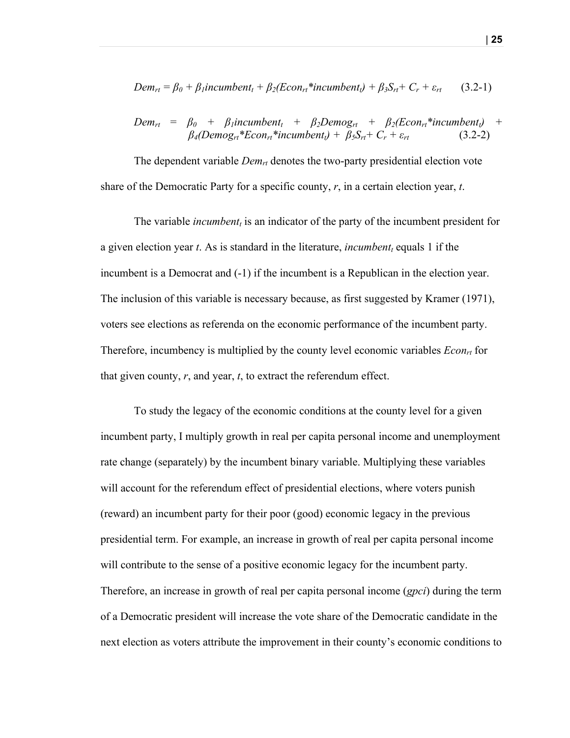$$
Dem_{rt} = \beta_0 + \beta_1 incumbent_t + \beta_2 (Econ_{rt} * incumbent_t) + \beta_3 S_{rt} + C_r + \varepsilon_{rt}
$$
 (3.2-1)

$$
Dem_{rt} = \beta_0 + \beta_1 incumbent_t + \beta_2 Demog_{rt} + \beta_2 (Econ_{rt} * incumbent_t) + \beta_4 (Demog_{rt} * Econ_{rt} * incumbent_t) + \beta_5 S_{rt} + C_r + \varepsilon_{rt}
$$
 (3.2-2)

The dependent variable *Demrt* denotes the two-party presidential election vote share of the Democratic Party for a specific county, *r*, in a certain election year, *t*.

The variable *incumbent<sub>t</sub>* is an indicator of the party of the incumbent president for a given election year *t*. As is standard in the literature, *incumbentt* equals 1 if the incumbent is a Democrat and (-1) if the incumbent is a Republican in the election year. The inclusion of this variable is necessary because, as first suggested by Kramer (1971), voters see elections as referenda on the economic performance of the incumbent party. Therefore, incumbency is multiplied by the county level economic variables  $Econ<sub>rt</sub>$  for that given county, *r*, and year, *t*, to extract the referendum effect.

To study the legacy of the economic conditions at the county level for a given incumbent party, I multiply growth in real per capita personal income and unemployment rate change (separately) by the incumbent binary variable. Multiplying these variables will account for the referendum effect of presidential elections, where voters punish (reward) an incumbent party for their poor (good) economic legacy in the previous presidential term. For example, an increase in growth of real per capita personal income will contribute to the sense of a positive economic legacy for the incumbent party. Therefore, an increase in growth of real per capita personal income (*gpci*) during the term of a Democratic president will increase the vote share of the Democratic candidate in the next election as voters attribute the improvement in their county's economic conditions to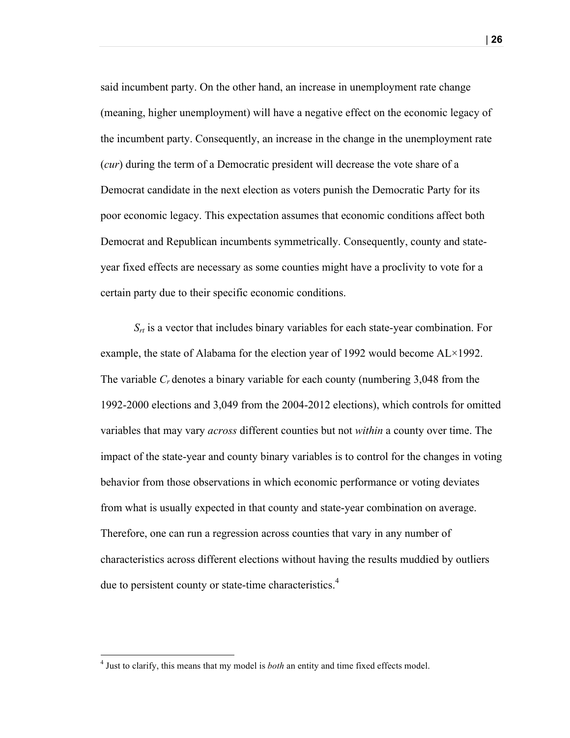said incumbent party. On the other hand, an increase in unemployment rate change (meaning, higher unemployment) will have a negative effect on the economic legacy of the incumbent party. Consequently, an increase in the change in the unemployment rate (*cur*) during the term of a Democratic president will decrease the vote share of a Democrat candidate in the next election as voters punish the Democratic Party for its poor economic legacy. This expectation assumes that economic conditions affect both Democrat and Republican incumbents symmetrically. Consequently, county and stateyear fixed effects are necessary as some counties might have a proclivity to vote for a certain party due to their specific economic conditions.

 $S_{rt}$  is a vector that includes binary variables for each state-year combination. For example, the state of Alabama for the election year of 1992 would become AL×1992. The variable *Cr* denotes a binary variable for each county (numbering 3,048 from the 1992-2000 elections and 3,049 from the 2004-2012 elections), which controls for omitted variables that may vary *across* different counties but not *within* a county over time. The impact of the state-year and county binary variables is to control for the changes in voting behavior from those observations in which economic performance or voting deviates from what is usually expected in that county and state-year combination on average. Therefore, one can run a regression across counties that vary in any number of characteristics across different elections without having the results muddied by outliers due to persistent county or state-time characteristics.<sup>4</sup>

<sup>4</sup> Just to clarify, this means that my model is *both* an entity and time fixed effects model.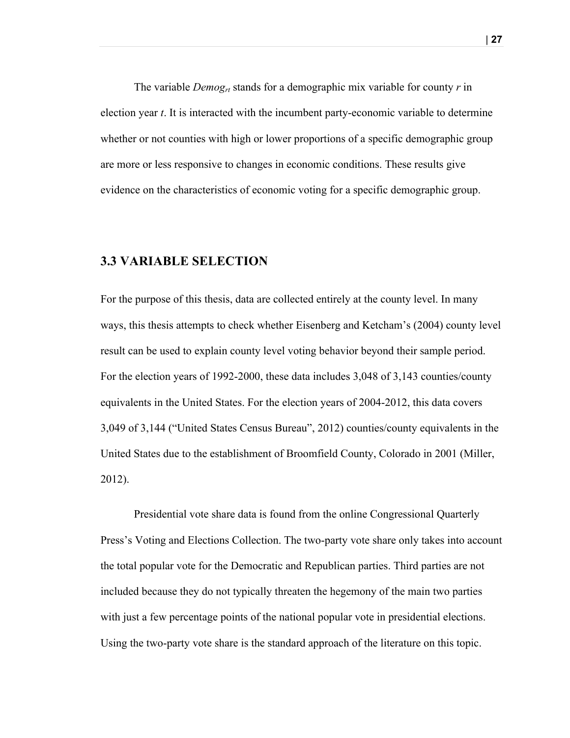The variable *Demogrt* stands for a demographic mix variable for county *r* in election year *t*. It is interacted with the incumbent party-economic variable to determine whether or not counties with high or lower proportions of a specific demographic group are more or less responsive to changes in economic conditions. These results give evidence on the characteristics of economic voting for a specific demographic group.

### **3.3 VARIABLE SELECTION**

For the purpose of this thesis, data are collected entirely at the county level. In many ways, this thesis attempts to check whether Eisenberg and Ketcham's (2004) county level result can be used to explain county level voting behavior beyond their sample period. For the election years of 1992-2000, these data includes 3,048 of 3,143 counties/county equivalents in the United States. For the election years of 2004-2012, this data covers 3,049 of 3,144 ("United States Census Bureau", 2012) counties/county equivalents in the United States due to the establishment of Broomfield County, Colorado in 2001 (Miller, 2012).

Presidential vote share data is found from the online Congressional Quarterly Press's Voting and Elections Collection. The two-party vote share only takes into account the total popular vote for the Democratic and Republican parties. Third parties are not included because they do not typically threaten the hegemony of the main two parties with just a few percentage points of the national popular vote in presidential elections. Using the two-party vote share is the standard approach of the literature on this topic.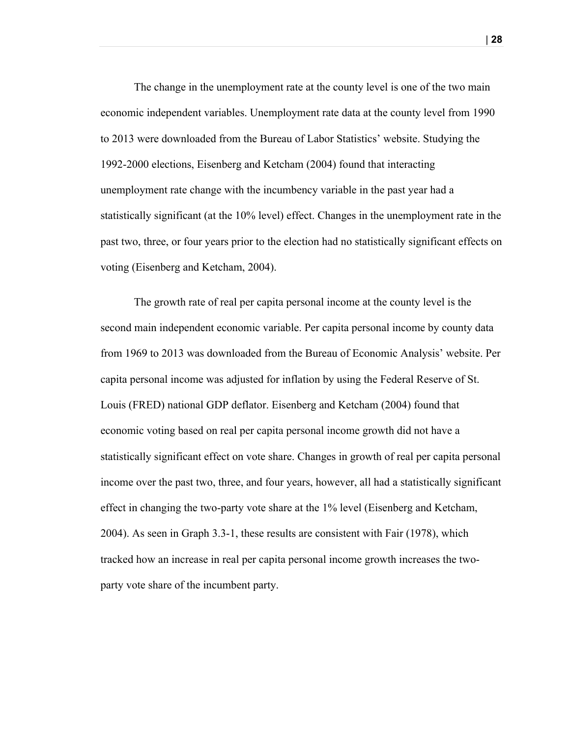The change in the unemployment rate at the county level is one of the two main economic independent variables. Unemployment rate data at the county level from 1990 to 2013 were downloaded from the Bureau of Labor Statistics' website. Studying the 1992-2000 elections, Eisenberg and Ketcham (2004) found that interacting unemployment rate change with the incumbency variable in the past year had a statistically significant (at the 10% level) effect. Changes in the unemployment rate in the past two, three, or four years prior to the election had no statistically significant effects on voting (Eisenberg and Ketcham, 2004).

The growth rate of real per capita personal income at the county level is the second main independent economic variable. Per capita personal income by county data from 1969 to 2013 was downloaded from the Bureau of Economic Analysis' website. Per capita personal income was adjusted for inflation by using the Federal Reserve of St. Louis (FRED) national GDP deflator. Eisenberg and Ketcham (2004) found that economic voting based on real per capita personal income growth did not have a statistically significant effect on vote share. Changes in growth of real per capita personal income over the past two, three, and four years, however, all had a statistically significant effect in changing the two-party vote share at the 1% level (Eisenberg and Ketcham, 2004). As seen in Graph 3.3-1, these results are consistent with Fair (1978), which tracked how an increase in real per capita personal income growth increases the twoparty vote share of the incumbent party.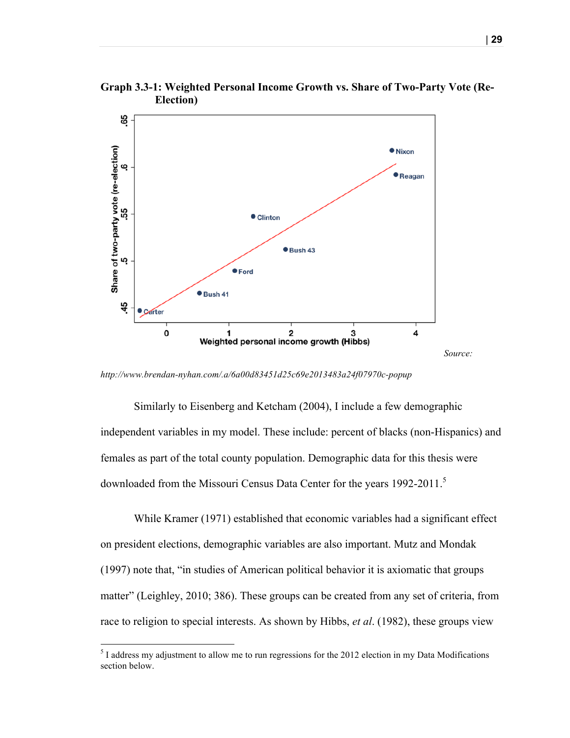

**Graph 3.3-1: Weighted Personal Income Growth vs. Share of Two-Party Vote (Re-Election)**

*http://www.brendan-nyhan.com/.a/6a00d83451d25c69e2013483a24f07970c-popup*

Similarly to Eisenberg and Ketcham (2004), I include a few demographic independent variables in my model. These include: percent of blacks (non-Hispanics) and females as part of the total county population. Demographic data for this thesis were downloaded from the Missouri Census Data Center for the years 1992-2011.<sup>5</sup>

While Kramer (1971) established that economic variables had a significant effect on president elections, demographic variables are also important. Mutz and Mondak (1997) note that, "in studies of American political behavior it is axiomatic that groups matter" (Leighley, 2010; 386). These groups can be created from any set of criteria, from race to religion to special interests. As shown by Hibbs, *et al*. (1982), these groups view

 $<sup>5</sup>$  I address my adjustment to allow me to run regressions for the 2012 election in my Data Modifications</sup> section below.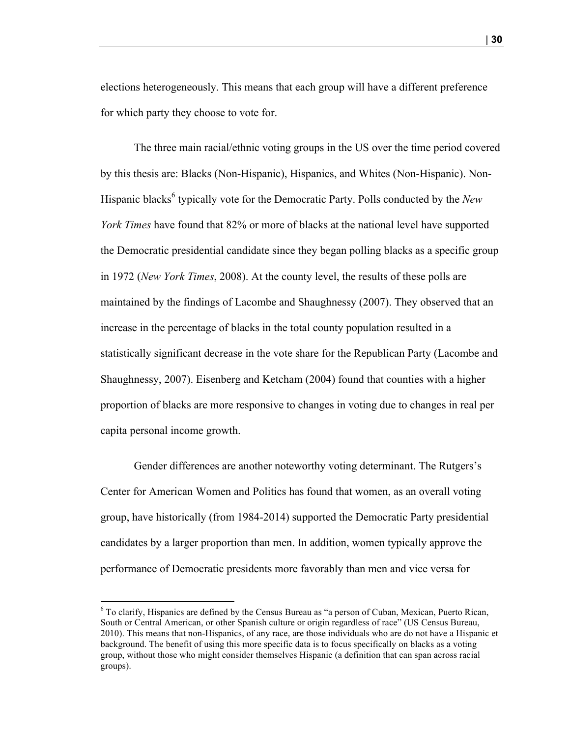elections heterogeneously. This means that each group will have a different preference for which party they choose to vote for.

The three main racial/ethnic voting groups in the US over the time period covered by this thesis are: Blacks (Non-Hispanic), Hispanics, and Whites (Non-Hispanic). Non-Hispanic blacks<sup>6</sup> typically vote for the Democratic Party. Polls conducted by the *New York Times* have found that 82% or more of blacks at the national level have supported the Democratic presidential candidate since they began polling blacks as a specific group in 1972 (*New York Times*, 2008). At the county level, the results of these polls are maintained by the findings of Lacombe and Shaughnessy (2007). They observed that an increase in the percentage of blacks in the total county population resulted in a statistically significant decrease in the vote share for the Republican Party (Lacombe and Shaughnessy, 2007). Eisenberg and Ketcham (2004) found that counties with a higher proportion of blacks are more responsive to changes in voting due to changes in real per capita personal income growth.

Gender differences are another noteworthy voting determinant. The Rutgers's Center for American Women and Politics has found that women, as an overall voting group, have historically (from 1984-2014) supported the Democratic Party presidential candidates by a larger proportion than men. In addition, women typically approve the performance of Democratic presidents more favorably than men and vice versa for

<sup>6</sup> To clarify, Hispanics are defined by the Census Bureau as "a person of Cuban, Mexican, Puerto Rican, South or Central American, or other Spanish culture or origin regardless of race" (US Census Bureau, 2010). This means that non-Hispanics, of any race, are those individuals who are do not have a Hispanic et background. The benefit of using this more specific data is to focus specifically on blacks as a voting group, without those who might consider themselves Hispanic (a definition that can span across racial groups).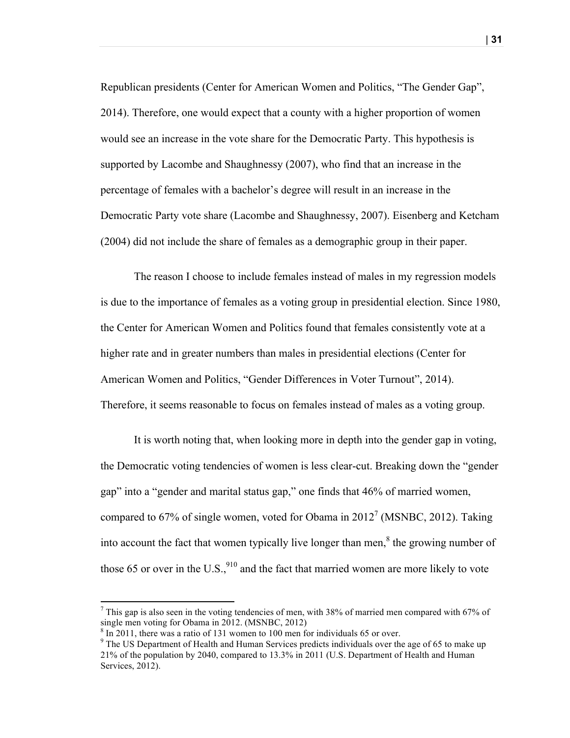Republican presidents (Center for American Women and Politics, "The Gender Gap", 2014). Therefore, one would expect that a county with a higher proportion of women would see an increase in the vote share for the Democratic Party. This hypothesis is supported by Lacombe and Shaughnessy (2007), who find that an increase in the percentage of females with a bachelor's degree will result in an increase in the Democratic Party vote share (Lacombe and Shaughnessy, 2007). Eisenberg and Ketcham (2004) did not include the share of females as a demographic group in their paper.

The reason I choose to include females instead of males in my regression models is due to the importance of females as a voting group in presidential election. Since 1980, the Center for American Women and Politics found that females consistently vote at a higher rate and in greater numbers than males in presidential elections (Center for American Women and Politics, "Gender Differences in Voter Turnout", 2014). Therefore, it seems reasonable to focus on females instead of males as a voting group.

It is worth noting that, when looking more in depth into the gender gap in voting, the Democratic voting tendencies of women is less clear-cut. Breaking down the "gender gap" into a "gender and marital status gap," one finds that 46% of married women, compared to 67% of single women, voted for Obama in  $2012<sup>7</sup>$  (MSNBC, 2012). Taking into account the fact that women typically live longer than men, $\delta$  the growing number of those 65 or over in the U.S., $^{910}$  and the fact that married women are more likely to vote

<sup>&</sup>lt;sup>7</sup> This gap is also seen in the voting tendencies of men, with 38% of married men compared with 67% of single men voting for Obama in 2012. (MSNBC, 2012)<br><sup>8</sup> In 2011, there was a ratio of 131 women to 100 men for individuals 65 or over.

 $9$  The US Department of Health and Human Services predicts individuals over the age of 65 to make up 21% of the population by 2040, compared to 13.3% in 2011 (U.S. Department of Health and Human Services, 2012).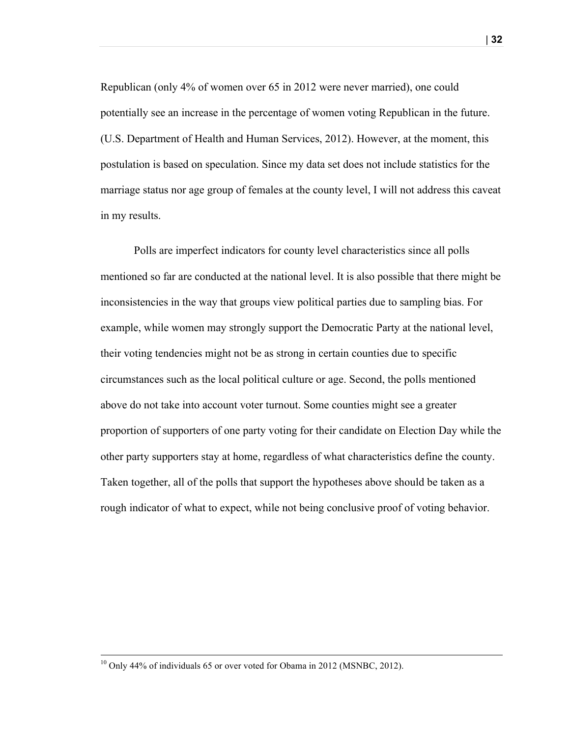Republican (only 4% of women over 65 in 2012 were never married), one could potentially see an increase in the percentage of women voting Republican in the future. (U.S. Department of Health and Human Services, 2012). However, at the moment, this postulation is based on speculation. Since my data set does not include statistics for the marriage status nor age group of females at the county level, I will not address this caveat in my results.

Polls are imperfect indicators for county level characteristics since all polls mentioned so far are conducted at the national level. It is also possible that there might be inconsistencies in the way that groups view political parties due to sampling bias. For example, while women may strongly support the Democratic Party at the national level, their voting tendencies might not be as strong in certain counties due to specific circumstances such as the local political culture or age. Second, the polls mentioned above do not take into account voter turnout. Some counties might see a greater proportion of supporters of one party voting for their candidate on Election Day while the other party supporters stay at home, regardless of what characteristics define the county. Taken together, all of the polls that support the hypotheses above should be taken as a rough indicator of what to expect, while not being conclusive proof of voting behavior.

<u> 1989 - Andrea Santa Andrea Andrea Andrea Andrea Andrea Andrea Andrea Andrea Andrea Andrea Andrea Andrea Andr</u>

<sup>&</sup>lt;sup>10</sup> Only 44% of individuals 65 or over voted for Obama in 2012 (MSNBC, 2012).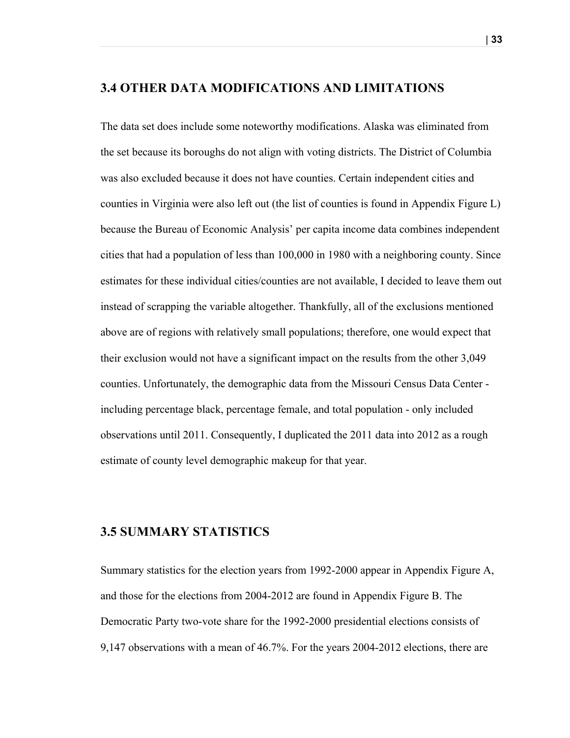#### **3.4 OTHER DATA MODIFICATIONS AND LIMITATIONS**

The data set does include some noteworthy modifications. Alaska was eliminated from the set because its boroughs do not align with voting districts. The District of Columbia was also excluded because it does not have counties. Certain independent cities and counties in Virginia were also left out (the list of counties is found in Appendix Figure L) because the Bureau of Economic Analysis' per capita income data combines independent cities that had a population of less than 100,000 in 1980 with a neighboring county. Since estimates for these individual cities/counties are not available, I decided to leave them out instead of scrapping the variable altogether. Thankfully, all of the exclusions mentioned above are of regions with relatively small populations; therefore, one would expect that their exclusion would not have a significant impact on the results from the other 3,049 counties. Unfortunately, the demographic data from the Missouri Census Data Center including percentage black, percentage female, and total population - only included observations until 2011. Consequently, I duplicated the 2011 data into 2012 as a rough estimate of county level demographic makeup for that year.

#### **3.5 SUMMARY STATISTICS**

Summary statistics for the election years from 1992-2000 appear in Appendix Figure A, and those for the elections from 2004-2012 are found in Appendix Figure B. The Democratic Party two-vote share for the 1992-2000 presidential elections consists of 9,147 observations with a mean of 46.7%. For the years 2004-2012 elections, there are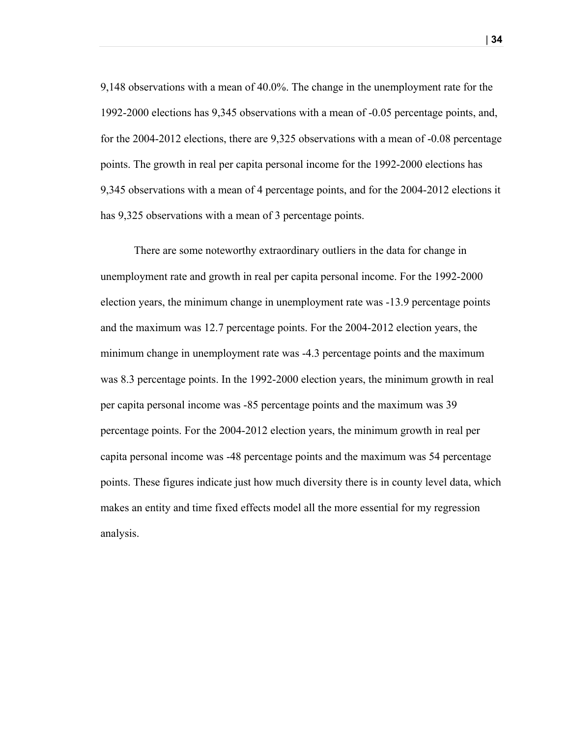9,148 observations with a mean of 40.0%. The change in the unemployment rate for the 1992-2000 elections has 9,345 observations with a mean of -0.05 percentage points, and, for the 2004-2012 elections, there are 9,325 observations with a mean of -0.08 percentage points. The growth in real per capita personal income for the 1992-2000 elections has 9,345 observations with a mean of 4 percentage points, and for the 2004-2012 elections it has 9,325 observations with a mean of 3 percentage points.

There are some noteworthy extraordinary outliers in the data for change in unemployment rate and growth in real per capita personal income. For the 1992-2000 election years, the minimum change in unemployment rate was -13.9 percentage points and the maximum was 12.7 percentage points. For the 2004-2012 election years, the minimum change in unemployment rate was -4.3 percentage points and the maximum was 8.3 percentage points. In the 1992-2000 election years, the minimum growth in real per capita personal income was -85 percentage points and the maximum was 39 percentage points. For the 2004-2012 election years, the minimum growth in real per capita personal income was -48 percentage points and the maximum was 54 percentage points. These figures indicate just how much diversity there is in county level data, which makes an entity and time fixed effects model all the more essential for my regression analysis.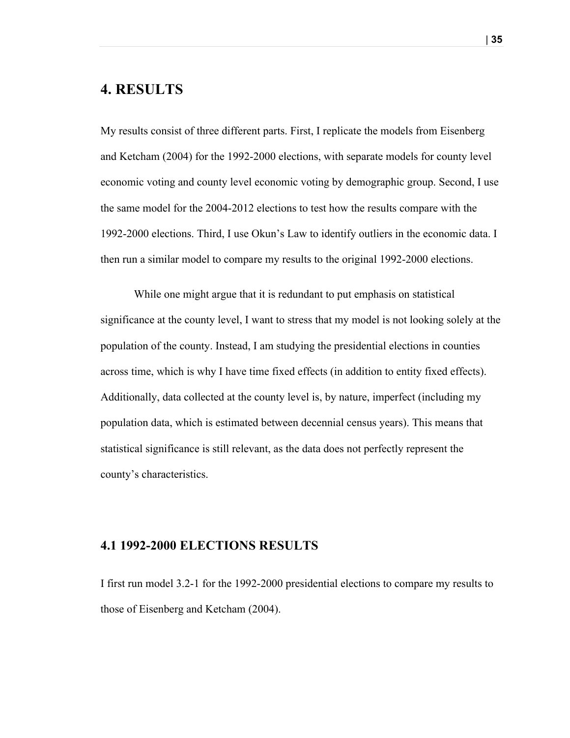# **4. RESULTS**

My results consist of three different parts. First, I replicate the models from Eisenberg and Ketcham (2004) for the 1992-2000 elections, with separate models for county level economic voting and county level economic voting by demographic group. Second, I use the same model for the 2004-2012 elections to test how the results compare with the 1992-2000 elections. Third, I use Okun's Law to identify outliers in the economic data. I then run a similar model to compare my results to the original 1992-2000 elections.

While one might argue that it is redundant to put emphasis on statistical significance at the county level, I want to stress that my model is not looking solely at the population of the county. Instead, I am studying the presidential elections in counties across time, which is why I have time fixed effects (in addition to entity fixed effects). Additionally, data collected at the county level is, by nature, imperfect (including my population data, which is estimated between decennial census years). This means that statistical significance is still relevant, as the data does not perfectly represent the county's characteristics.

### **4.1 1992-2000 ELECTIONS RESULTS**

I first run model 3.2-1 for the 1992-2000 presidential elections to compare my results to those of Eisenberg and Ketcham (2004).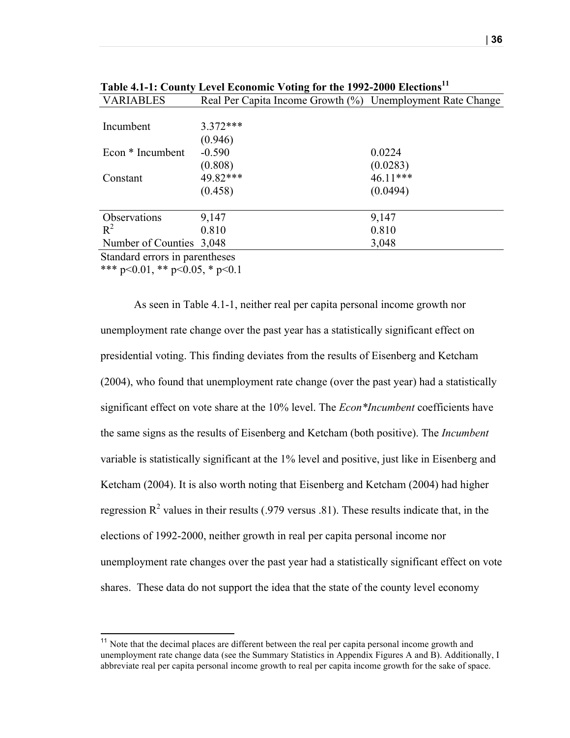| <b>VARIABLES</b>               | Real Per Capita Income Growth (%) Unemployment Rate Change |          |
|--------------------------------|------------------------------------------------------------|----------|
|                                |                                                            |          |
| Incumbent                      | $3.372***$                                                 |          |
|                                | (0.946)                                                    |          |
| Econ * Incumbent               | $-0.590$                                                   | 0.0224   |
|                                | (0.808)                                                    | (0.0283) |
| Constant                       | 49.82***                                                   | 46.11*** |
|                                | (0.458)                                                    | (0.0494) |
|                                |                                                            |          |
| Observations                   | 9,147                                                      | 9,147    |
| $R^2$                          | 0.810                                                      | 0.810    |
| Number of Counties 3,048       |                                                            | 3,048    |
| Standard errors in parentheses |                                                            |          |

**Table 4.1-1: County Level Economic Voting for the 1992-2000 Elections<sup>11</sup>**

\*\*\* p<0.01, \*\* p<0.05, \* p<0.1

As seen in Table 4.1-1, neither real per capita personal income growth nor unemployment rate change over the past year has a statistically significant effect on presidential voting. This finding deviates from the results of Eisenberg and Ketcham (2004), who found that unemployment rate change (over the past year) had a statistically significant effect on vote share at the 10% level. The *Econ\*Incumbent* coefficients have the same signs as the results of Eisenberg and Ketcham (both positive). The *Incumbent* variable is statistically significant at the 1% level and positive, just like in Eisenberg and Ketcham (2004). It is also worth noting that Eisenberg and Ketcham (2004) had higher regression  $R^2$  values in their results (.979 versus .81). These results indicate that, in the elections of 1992-2000, neither growth in real per capita personal income nor unemployment rate changes over the past year had a statistically significant effect on vote shares. These data do not support the idea that the state of the county level economy

<sup>&</sup>lt;sup>11</sup> Note that the decimal places are different between the real per capita personal income growth and unemployment rate change data (see the Summary Statistics in Appendix Figures A and B). Additionally, I abbreviate real per capita personal income growth to real per capita income growth for the sake of space.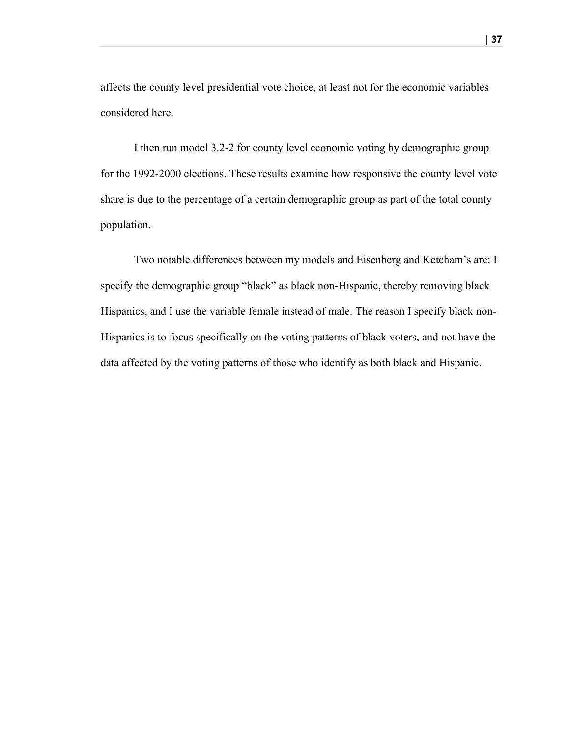affects the county level presidential vote choice, at least not for the economic variables considered here.

I then run model 3.2-2 for county level economic voting by demographic group for the 1992-2000 elections. These results examine how responsive the county level vote share is due to the percentage of a certain demographic group as part of the total county population.

Two notable differences between my models and Eisenberg and Ketcham's are: I specify the demographic group "black" as black non-Hispanic, thereby removing black Hispanics, and I use the variable female instead of male. The reason I specify black non-Hispanics is to focus specifically on the voting patterns of black voters, and not have the data affected by the voting patterns of those who identify as both black and Hispanic.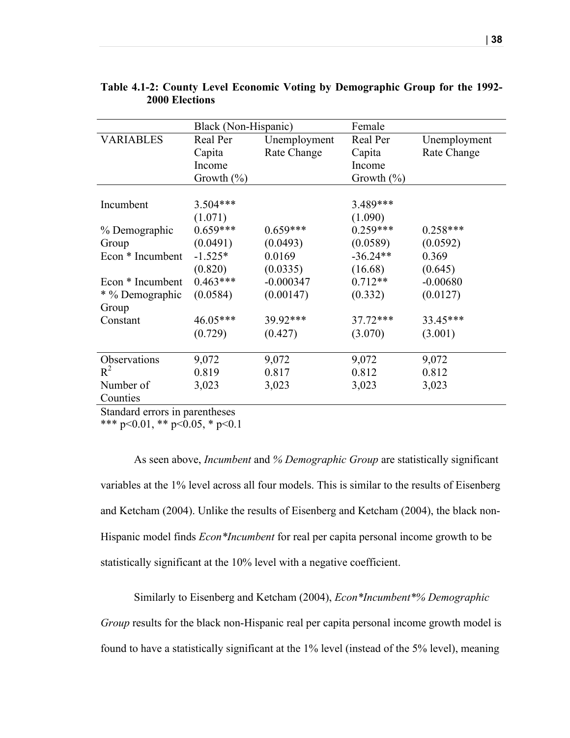|                  | Black (Non-Hispanic) |              | Female         |              |
|------------------|----------------------|--------------|----------------|--------------|
| <b>VARIABLES</b> | Real Per             | Unemployment | Real Per       | Unemployment |
|                  | Capita               | Rate Change  | Capita         | Rate Change  |
|                  | Income               |              | Income         |              |
|                  | Growth $(\% )$       |              | Growth $(\% )$ |              |
|                  |                      |              |                |              |
| Incumbent        | $3.504***$           |              | 3.489***       |              |
|                  | (1.071)              |              | (1.090)        |              |
| % Demographic    | $0.659***$           | $0.659***$   | $0.259***$     | $0.258***$   |
| Group            | (0.0491)             | (0.0493)     | (0.0589)       | (0.0592)     |
| Econ * Incumbent | $-1.525*$            | 0.0169       | $-36.24**$     | 0.369        |
|                  | (0.820)              | (0.0335)     | (16.68)        | (0.645)      |
| Econ * Incumbent | $0.463***$           | $-0.000347$  | $0.712**$      | $-0.00680$   |
| * % Demographic  | (0.0584)             | (0.00147)    | (0.332)        | (0.0127)     |
| Group            |                      |              |                |              |
| Constant         | 46.05***             | 39.92***     | $37.72***$     | 33.45***     |
|                  | (0.729)              | (0.427)      | (3.070)        | (3.001)      |
|                  |                      |              |                |              |
| Observations     | 9,072                | 9,072        | 9,072          | 9,072        |
| $R^2$            | 0.819                | 0.817        | 0.812          | 0.812        |
| Number of        | 3,023                | 3,023        | 3,023          | 3,023        |
| Counties         |                      |              |                |              |

**Table 4.1-2: County Level Economic Voting by Demographic Group for the 1992- 2000 Elections**

Standard errors in parentheses

\*\*\* p<0.01, \*\* p<0.05, \* p<0.1

As seen above, *Incumbent* and *% Demographic Group* are statistically significant variables at the 1% level across all four models. This is similar to the results of Eisenberg and Ketcham (2004). Unlike the results of Eisenberg and Ketcham (2004), the black non-Hispanic model finds *Econ\*Incumbent* for real per capita personal income growth to be statistically significant at the 10% level with a negative coefficient.

Similarly to Eisenberg and Ketcham (2004), *Econ\*Incumbent\*% Demographic Group* results for the black non-Hispanic real per capita personal income growth model is found to have a statistically significant at the 1% level (instead of the 5% level), meaning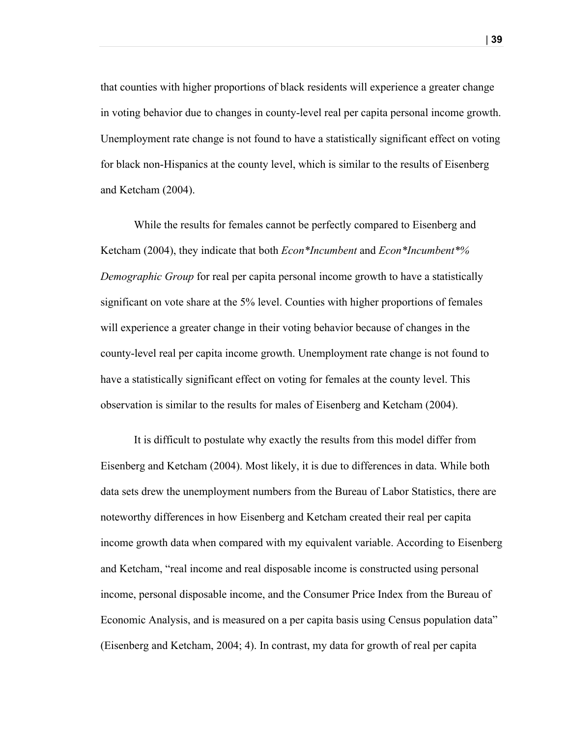that counties with higher proportions of black residents will experience a greater change in voting behavior due to changes in county-level real per capita personal income growth. Unemployment rate change is not found to have a statistically significant effect on voting for black non-Hispanics at the county level, which is similar to the results of Eisenberg and Ketcham (2004).

While the results for females cannot be perfectly compared to Eisenberg and Ketcham (2004), they indicate that both *Econ\*Incumbent* and *Econ\*Incumbent\*% Demographic Group* for real per capita personal income growth to have a statistically significant on vote share at the 5% level. Counties with higher proportions of females will experience a greater change in their voting behavior because of changes in the county-level real per capita income growth. Unemployment rate change is not found to have a statistically significant effect on voting for females at the county level. This observation is similar to the results for males of Eisenberg and Ketcham (2004).

It is difficult to postulate why exactly the results from this model differ from Eisenberg and Ketcham (2004). Most likely, it is due to differences in data. While both data sets drew the unemployment numbers from the Bureau of Labor Statistics, there are noteworthy differences in how Eisenberg and Ketcham created their real per capita income growth data when compared with my equivalent variable. According to Eisenberg and Ketcham, "real income and real disposable income is constructed using personal income, personal disposable income, and the Consumer Price Index from the Bureau of Economic Analysis, and is measured on a per capita basis using Census population data" (Eisenberg and Ketcham, 2004; 4). In contrast, my data for growth of real per capita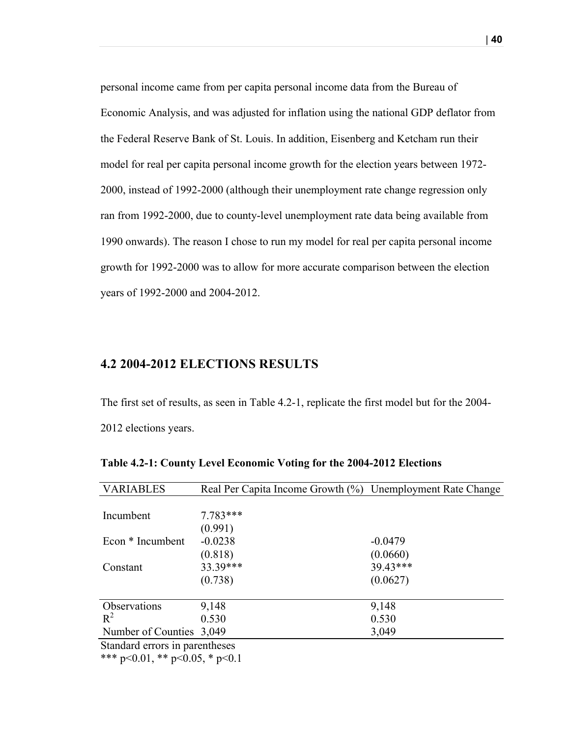personal income came from per capita personal income data from the Bureau of Economic Analysis, and was adjusted for inflation using the national GDP deflator from the Federal Reserve Bank of St. Louis. In addition, Eisenberg and Ketcham run their model for real per capita personal income growth for the election years between 1972- 2000, instead of 1992-2000 (although their unemployment rate change regression only ran from 1992-2000, due to county-level unemployment rate data being available from 1990 onwards). The reason I chose to run my model for real per capita personal income growth for 1992-2000 was to allow for more accurate comparison between the election years of 1992-2000 and 2004-2012.

#### **4.2 2004-2012 ELECTIONS RESULTS**

The first set of results, as seen in Table 4.2-1, replicate the first model but for the 2004- 2012 elections years.

| <b>VARIABLES</b>               | Real Per Capita Income Growth (%) Unemployment Rate Change |           |
|--------------------------------|------------------------------------------------------------|-----------|
|                                |                                                            |           |
| Incumbent                      | $7.783***$                                                 |           |
|                                | (0.991)                                                    |           |
| Econ * Incumbent               | $-0.0238$                                                  | $-0.0479$ |
|                                | (0.818)                                                    | (0.0660)  |
| Constant                       | 33.39***                                                   | 39.43***  |
|                                | (0.738)                                                    | (0.0627)  |
|                                |                                                            |           |
| Observations                   | 9,148                                                      | 9,148     |
| $R^2$                          | 0.530                                                      | 0.530     |
| Number of Counties 3,049       |                                                            | 3,049     |
| Standard arrors in parantheses |                                                            |           |

**Table 4.2-1: County Level Economic Voting for the 2004-2012 Elections**

Standard errors in parentheses

\*\*\* p<0.01, \*\* p<0.05, \* p<0.1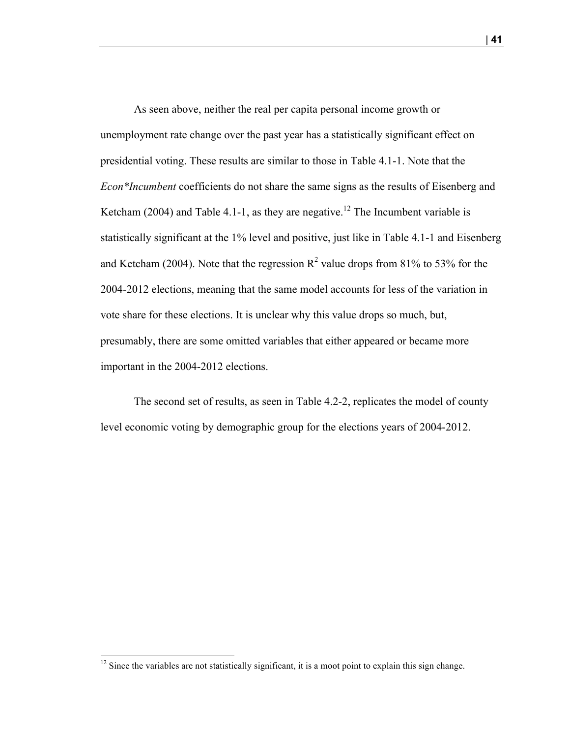As seen above, neither the real per capita personal income growth or unemployment rate change over the past year has a statistically significant effect on presidential voting. These results are similar to those in Table 4.1-1. Note that the *Econ\*Incumbent* coefficients do not share the same signs as the results of Eisenberg and Ketcham (2004) and Table 4.1-1, as they are negative.<sup>12</sup> The Incumbent variable is statistically significant at the 1% level and positive, just like in Table 4.1-1 and Eisenberg and Ketcham (2004). Note that the regression  $\mathbb{R}^2$  value drops from 81% to 53% for the 2004-2012 elections, meaning that the same model accounts for less of the variation in vote share for these elections. It is unclear why this value drops so much, but, presumably, there are some omitted variables that either appeared or became more important in the 2004-2012 elections.

The second set of results, as seen in Table 4.2-2, replicates the model of county level economic voting by demographic group for the elections years of 2004-2012.

| **41**

<u> 1989 - Johann Stein, markin film yn y breninn y breninn y breninn y breninn y breninn y breninn y breninn y b</u>

 $12$  Since the variables are not statistically significant, it is a moot point to explain this sign change.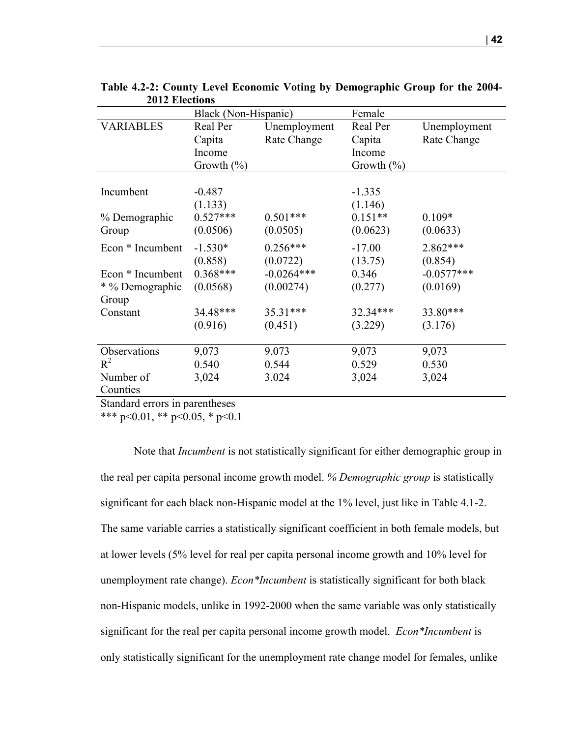|                  | Black (Non-Hispanic) |              | Female        |              |
|------------------|----------------------|--------------|---------------|--------------|
| <b>VARIABLES</b> | Real Per             | Unemployment | Real Per      | Unemployment |
|                  | Capita               | Rate Change  | Capita        | Rate Change  |
|                  | Income               |              | Income        |              |
|                  | Growth $(\%)$        |              | Growth $(\%)$ |              |
|                  |                      |              |               |              |
| Incumbent        | $-0.487$             |              | $-1.335$      |              |
|                  | (1.133)              |              | (1.146)       |              |
| % Demographic    | $0.527***$           | $0.501***$   | $0.151**$     | $0.109*$     |
| Group            | (0.0506)             | (0.0505)     | (0.0623)      | (0.0633)     |
| Econ * Incumbent | $-1.530*$            | $0.256***$   | $-17.00$      | 2.862***     |
|                  | (0.858)              | (0.0722)     | (13.75)       | (0.854)      |
| Econ * Incumbent | $0.368***$           | $-0.0264***$ | 0.346         | $-0.0577***$ |
| * % Demographic  | (0.0568)             | (0.00274)    | (0.277)       | (0.0169)     |
| Group            |                      |              |               |              |
| Constant         | 34.48***             | 35.31***     | 32.34***      | 33.80***     |
|                  | (0.916)              | (0.451)      | (3.229)       | (3.176)      |
|                  |                      |              |               |              |
| Observations     | 9,073                | 9,073        | 9,073         | 9,073        |
| $R^2$            | 0.540                | 0.544        | 0.529         | 0.530        |
| Number of        | 3,024                | 3,024        | 3,024         | 3,024        |
| Counties         |                      |              |               |              |
| $\alpha$ , 1 1   | $\sqrt{1}$           |              |               |              |

**Table 4.2-2: County Level Economic Voting by Demographic Group for the 2004- 2012 Elections**

Standard errors in parentheses

\*\*\* p<0.01, \*\* p<0.05, \* p<0.1

Note that *Incumbent* is not statistically significant for either demographic group in the real per capita personal income growth model. *% Demographic group* is statistically significant for each black non-Hispanic model at the 1% level, just like in Table 4.1-2. The same variable carries a statistically significant coefficient in both female models, but at lower levels (5% level for real per capita personal income growth and 10% level for unemployment rate change). *Econ\*Incumbent* is statistically significant for both black non-Hispanic models, unlike in 1992-2000 when the same variable was only statistically significant for the real per capita personal income growth model. *Econ\*Incumbent* is only statistically significant for the unemployment rate change model for females, unlike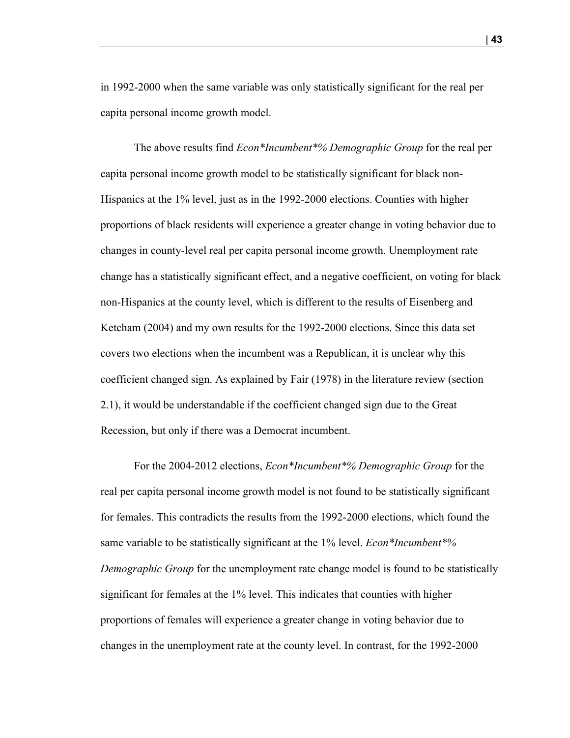in 1992-2000 when the same variable was only statistically significant for the real per capita personal income growth model.

The above results find *Econ\*Incumbent\*% Demographic Group* for the real per capita personal income growth model to be statistically significant for black non-Hispanics at the 1% level, just as in the 1992-2000 elections. Counties with higher proportions of black residents will experience a greater change in voting behavior due to changes in county-level real per capita personal income growth. Unemployment rate change has a statistically significant effect, and a negative coefficient, on voting for black non-Hispanics at the county level, which is different to the results of Eisenberg and Ketcham (2004) and my own results for the 1992-2000 elections. Since this data set covers two elections when the incumbent was a Republican, it is unclear why this coefficient changed sign. As explained by Fair (1978) in the literature review (section 2.1), it would be understandable if the coefficient changed sign due to the Great Recession, but only if there was a Democrat incumbent.

For the 2004-2012 elections, *Econ\*Incumbent\*% Demographic Group* for the real per capita personal income growth model is not found to be statistically significant for females. This contradicts the results from the 1992-2000 elections, which found the same variable to be statistically significant at the 1% level. *Econ\*Incumbent\*% Demographic Group* for the unemployment rate change model is found to be statistically significant for females at the 1% level. This indicates that counties with higher proportions of females will experience a greater change in voting behavior due to changes in the unemployment rate at the county level. In contrast, for the 1992-2000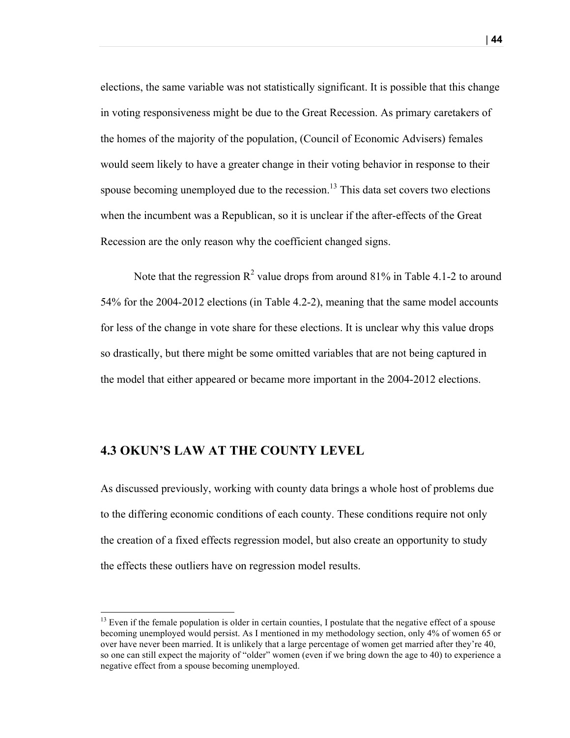elections, the same variable was not statistically significant. It is possible that this change in voting responsiveness might be due to the Great Recession. As primary caretakers of the homes of the majority of the population, (Council of Economic Advisers) females would seem likely to have a greater change in their voting behavior in response to their spouse becoming unemployed due to the recession.<sup>13</sup> This data set covers two elections when the incumbent was a Republican, so it is unclear if the after-effects of the Great Recession are the only reason why the coefficient changed signs.

Note that the regression  $R^2$  value drops from around 81% in Table 4.1-2 to around 54% for the 2004-2012 elections (in Table 4.2-2), meaning that the same model accounts for less of the change in vote share for these elections. It is unclear why this value drops so drastically, but there might be some omitted variables that are not being captured in the model that either appeared or became more important in the 2004-2012 elections.

#### **4.3 OKUN'S LAW AT THE COUNTY LEVEL**

<u> 1989 - Johann Stein, markin film yn y breninn y breninn y breninn y breninn y breninn y breninn y breninn y b</u>

As discussed previously, working with county data brings a whole host of problems due to the differing economic conditions of each county. These conditions require not only the creation of a fixed effects regression model, but also create an opportunity to study the effects these outliers have on regression model results.

 $13$  Even if the female population is older in certain counties, I postulate that the negative effect of a spouse becoming unemployed would persist. As I mentioned in my methodology section, only 4% of women 65 or over have never been married. It is unlikely that a large percentage of women get married after they're 40, so one can still expect the majority of "older" women (even if we bring down the age to 40) to experience a negative effect from a spouse becoming unemployed.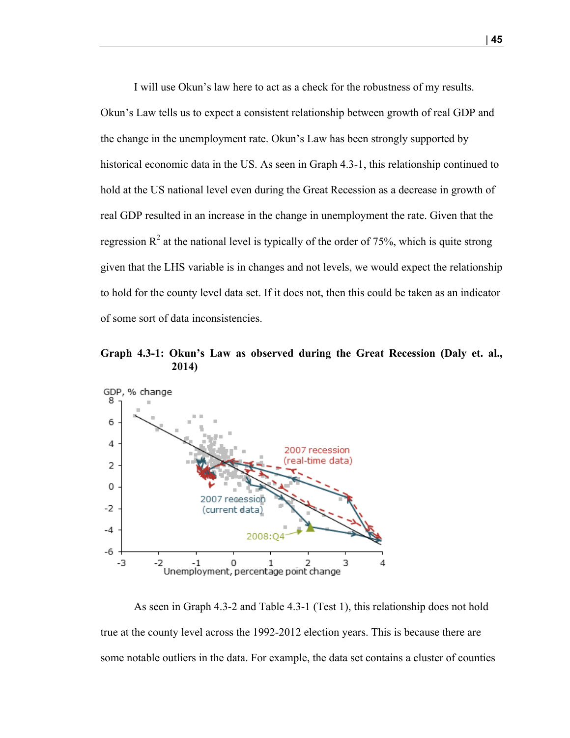I will use Okun's law here to act as a check for the robustness of my results. Okun's Law tells us to expect a consistent relationship between growth of real GDP and the change in the unemployment rate. Okun's Law has been strongly supported by historical economic data in the US. As seen in Graph 4.3-1, this relationship continued to hold at the US national level even during the Great Recession as a decrease in growth of real GDP resulted in an increase in the change in unemployment the rate. Given that the regression  $R^2$  at the national level is typically of the order of 75%, which is quite strong given that the LHS variable is in changes and not levels, we would expect the relationship to hold for the county level data set. If it does not, then this could be taken as an indicator of some sort of data inconsistencies.

**Graph 4.3-1: Okun's Law as observed during the Great Recession (Daly et. al., 2014)**



As seen in Graph 4.3-2 and Table 4.3-1 (Test 1), this relationship does not hold true at the county level across the 1992-2012 election years. This is because there are some notable outliers in the data. For example, the data set contains a cluster of counties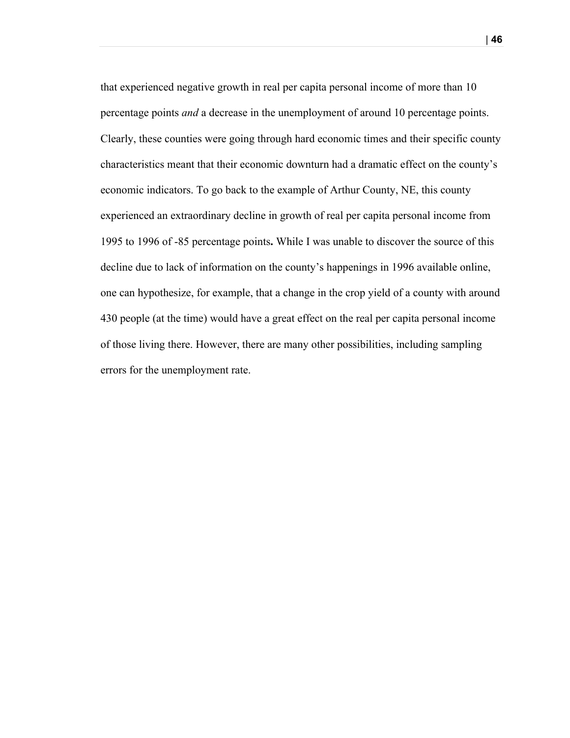that experienced negative growth in real per capita personal income of more than 10 percentage points *and* a decrease in the unemployment of around 10 percentage points. Clearly, these counties were going through hard economic times and their specific county characteristics meant that their economic downturn had a dramatic effect on the county's economic indicators. To go back to the example of Arthur County, NE, this county experienced an extraordinary decline in growth of real per capita personal income from 1995 to 1996 of -85 percentage points**.** While I was unable to discover the source of this decline due to lack of information on the county's happenings in 1996 available online, one can hypothesize, for example, that a change in the crop yield of a county with around 430 people (at the time) would have a great effect on the real per capita personal income of those living there. However, there are many other possibilities, including sampling errors for the unemployment rate.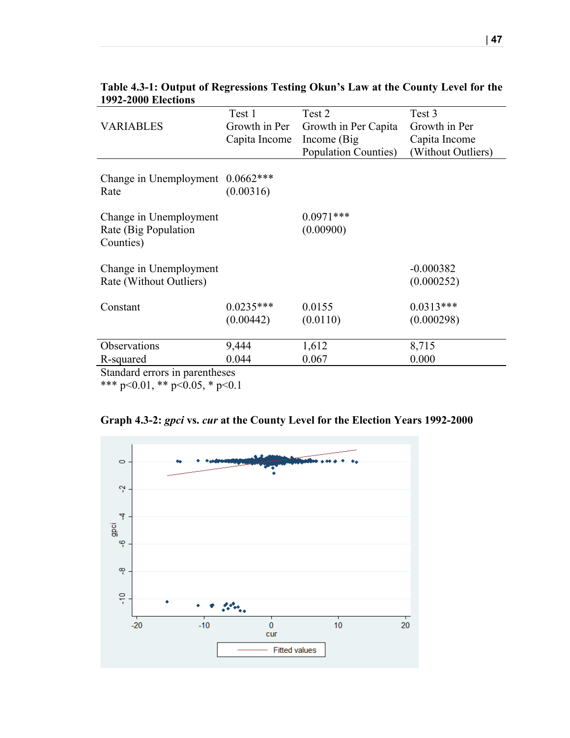|                                    | Test 1        | Test 2                       | Test 3             |
|------------------------------------|---------------|------------------------------|--------------------|
| <b>VARIABLES</b>                   | Growth in Per | Growth in Per Capita         | Growth in Per      |
|                                    | Capita Income | Income (Big)                 | Capita Income      |
|                                    |               | <b>Population Counties</b> ) | (Without Outliers) |
|                                    |               |                              |                    |
| Change in Unemployment $0.0662***$ |               |                              |                    |
| Rate                               | (0.00316)     |                              |                    |
|                                    |               |                              |                    |
| Change in Unemployment             |               | $0.0971***$                  |                    |
| Rate (Big Population               |               | (0.00900)                    |                    |
| Counties)                          |               |                              |                    |
|                                    |               |                              |                    |
| Change in Unemployment             |               |                              | $-0.000382$        |
| Rate (Without Outliers)            |               |                              | (0.000252)         |
| Constant                           | $0.0235***$   | 0.0155                       | $0.0313***$        |
|                                    | (0.00442)     | (0.0110)                     | (0.000298)         |
|                                    |               |                              |                    |
| Observations                       | 9,444         | 1,612                        | 8,715              |
| R-squared                          | 0.044         | 0.067                        | 0.000              |
| $\mathbf{L}$<br>$C_{1} = 1 - 1$    | $\pm 1$ .     |                              |                    |

| Table 4.3-1: Output of Regressions Testing Okun's Law at the County Level for the |  |  |  |
|-----------------------------------------------------------------------------------|--|--|--|
| <b>1992-2000 Elections</b>                                                        |  |  |  |

Standard errors in parentheses

\*\*\* p<0.01, \*\* p<0.05, \* p<0.1

|  |  | Graph 4.3-2: gpci vs. cur at the County Level for the Election Years 1992-2000 |  |  |  |  |
|--|--|--------------------------------------------------------------------------------|--|--|--|--|
|--|--|--------------------------------------------------------------------------------|--|--|--|--|

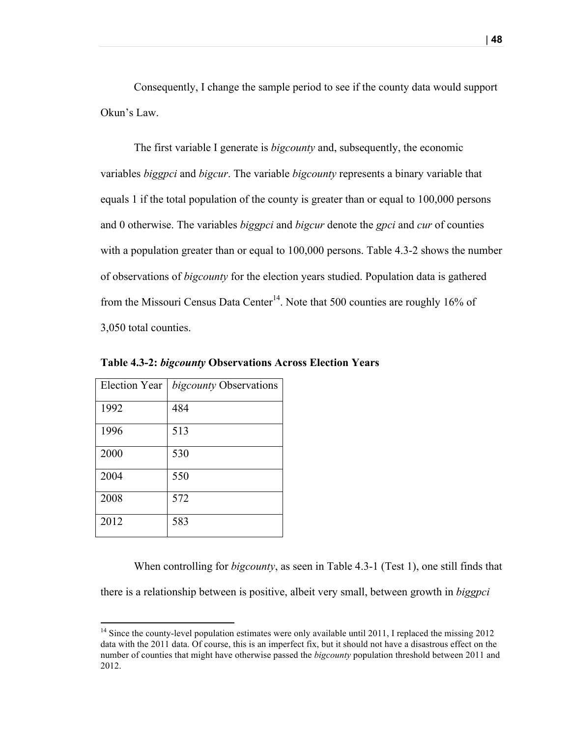Consequently, I change the sample period to see if the county data would support Okun's Law.

The first variable I generate is *bigcounty* and, subsequently, the economic variables *biggpci* and *bigcur*. The variable *bigcounty* represents a binary variable that equals 1 if the total population of the county is greater than or equal to 100,000 persons and 0 otherwise. The variables *biggpci* and *bigcur* denote the *gpci* and *cur* of counties with a population greater than or equal to 100,000 persons. Table 4.3-2 shows the number of observations of *bigcounty* for the election years studied. Population data is gathered from the Missouri Census Data Center<sup>14</sup>. Note that 500 counties are roughly 16% of 3,050 total counties.

| <b>Election Year</b> | <i>bigcounty</i> Observations |
|----------------------|-------------------------------|
| 1992                 | 484                           |
| 1996                 | 513                           |
| 2000                 | 530                           |
| 2004                 | 550                           |
| 2008                 | 572                           |
| 2012                 | 583                           |

<u> 1989 - Johann Stein, markin film yn y breninn y breninn y breninn y breninn y breninn y breninn y breninn y b</u>

**Table 4.3-2:** *bigcounty* **Observations Across Election Years**

When controlling for *bigcounty*, as seen in Table 4.3-1 (Test 1), one still finds that there is a relationship between is positive, albeit very small, between growth in *biggpci*

<sup>&</sup>lt;sup>14</sup> Since the county-level population estimates were only available until 2011, I replaced the missing 2012 data with the 2011 data. Of course, this is an imperfect fix, but it should not have a disastrous effect on the number of counties that might have otherwise passed the *bigcounty* population threshold between 2011 and 2012.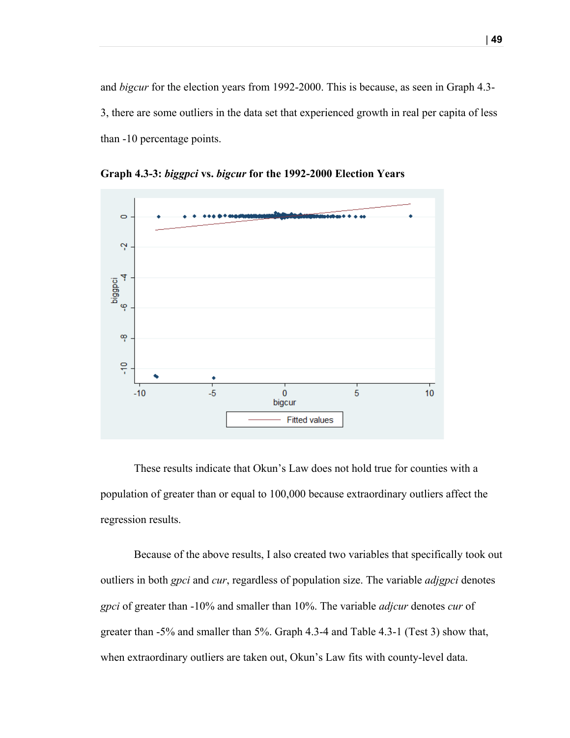and *bigcur* for the election years from 1992-2000. This is because, as seen in Graph 4.3- 3, there are some outliers in the data set that experienced growth in real per capita of less than -10 percentage points.



**Graph 4.3-3:** *biggpci* **vs.** *bigcur* **for the 1992-2000 Election Years**

These results indicate that Okun's Law does not hold true for counties with a population of greater than or equal to 100,000 because extraordinary outliers affect the regression results.

Because of the above results, I also created two variables that specifically took out outliers in both *gpci* and *cur*, regardless of population size. The variable *adjgpci* denotes *gpci* of greater than -10% and smaller than 10%. The variable *adjcur* denotes *cur* of greater than -5% and smaller than 5%. Graph 4.3-4 and Table 4.3-1 (Test 3) show that, when extraordinary outliers are taken out, Okun's Law fits with county-level data.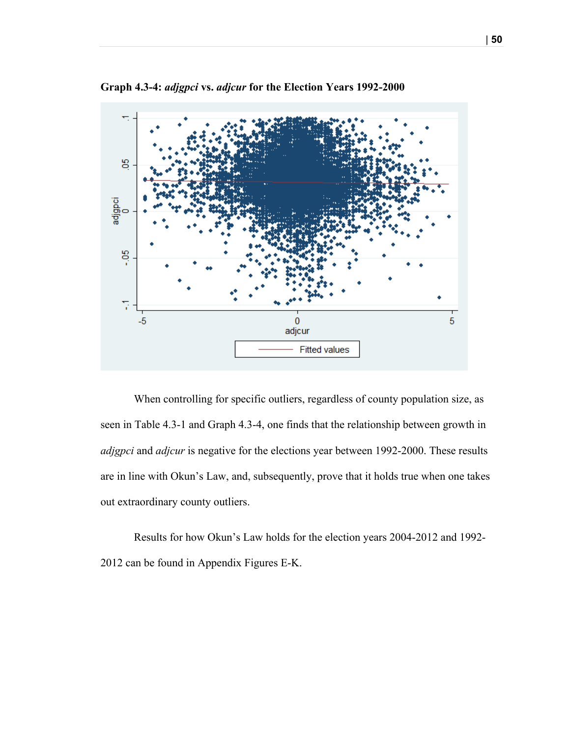

**Graph 4.3-4:** *adjgpci* **vs.** *adjcur* **for the Election Years 1992-2000**

When controlling for specific outliers, regardless of county population size, as seen in Table 4.3-1 and Graph 4.3-4, one finds that the relationship between growth in *adjgpci* and *adjcur* is negative for the elections year between 1992-2000. These results are in line with Okun's Law, and, subsequently, prove that it holds true when one takes out extraordinary county outliers.

Results for how Okun's Law holds for the election years 2004-2012 and 1992- 2012 can be found in Appendix Figures E-K.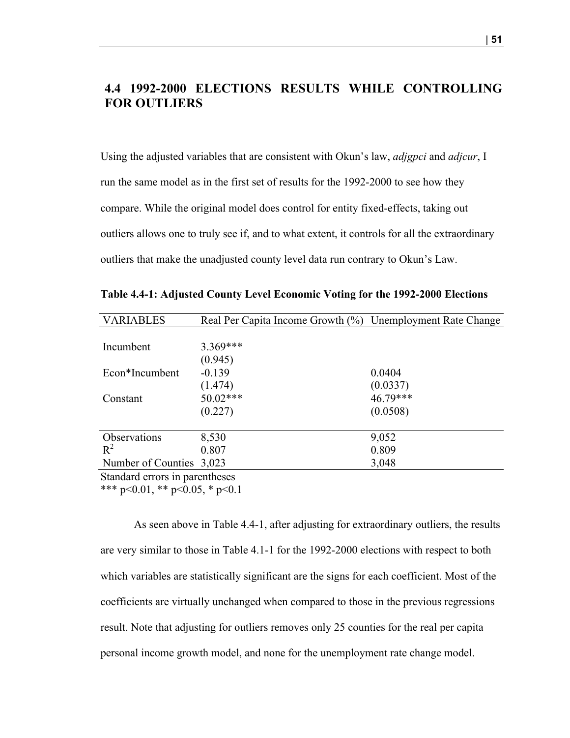# **4.4 1992-2000 ELECTIONS RESULTS WHILE CONTROLLING FOR OUTLIERS**

Using the adjusted variables that are consistent with Okun's law, *adjgpci* and *adjcur*, I run the same model as in the first set of results for the 1992-2000 to see how they compare. While the original model does control for entity fixed-effects, taking out outliers allows one to truly see if, and to what extent, it controls for all the extraordinary outliers that make the unadjusted county level data run contrary to Okun's Law.

| <b>VARIABLES</b>               | Real Per Capita Income Growth (%) Unemployment Rate Change |          |
|--------------------------------|------------------------------------------------------------|----------|
|                                |                                                            |          |
| Incumbent                      | 3.369***                                                   |          |
|                                | (0.945)                                                    |          |
| Econ*Incumbent                 | $-0.139$                                                   | 0.0404   |
|                                | (1.474)                                                    | (0.0337) |
| Constant                       | $50.02***$                                                 | 46.79*** |
|                                | (0.227)                                                    | (0.0508) |
|                                |                                                            |          |
| Observations                   | 8,530                                                      | 9,052    |
| $R^2$                          | 0.807                                                      | 0.809    |
| Number of Counties 3,023       |                                                            | 3,048    |
| Standard errors in parentheses |                                                            |          |

**Table 4.4-1: Adjusted County Level Economic Voting for the 1992-2000 Elections**

\*\*\* p<0.01, \*\* p<0.05, \* p<0.1

As seen above in Table 4.4-1, after adjusting for extraordinary outliers, the results are very similar to those in Table 4.1-1 for the 1992-2000 elections with respect to both which variables are statistically significant are the signs for each coefficient. Most of the coefficients are virtually unchanged when compared to those in the previous regressions result. Note that adjusting for outliers removes only 25 counties for the real per capita personal income growth model, and none for the unemployment rate change model.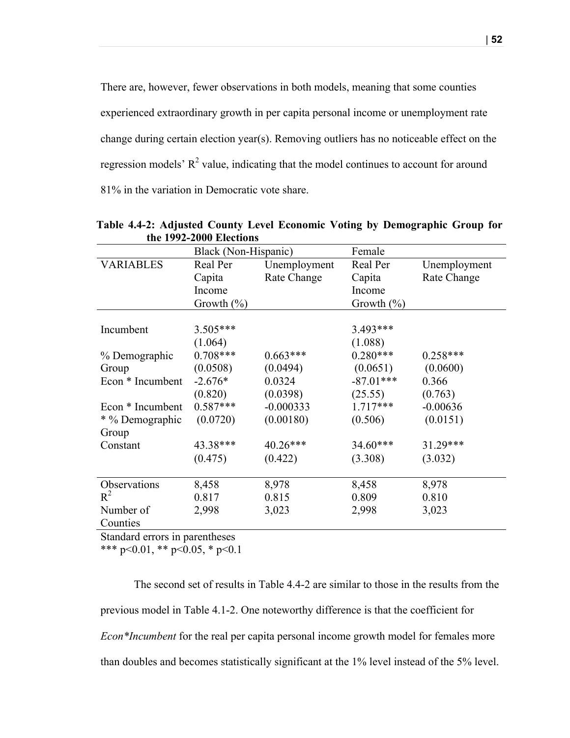There are, however, fewer observations in both models, meaning that some counties experienced extraordinary growth in per capita personal income or unemployment rate change during certain election year(s). Removing outliers has no noticeable effect on the regression models'  $R^2$  value, indicating that the model continues to account for around 81% in the variation in Democratic vote share.

|                  | Black (Non-Hispanic) |              | Female         |              |
|------------------|----------------------|--------------|----------------|--------------|
| <b>VARIABLES</b> | Real Per             | Unemployment | Real Per       | Unemployment |
|                  | Capita               | Rate Change  | Capita         | Rate Change  |
|                  | Income               |              | Income         |              |
|                  | Growth $(\% )$       |              | Growth $(\% )$ |              |
|                  |                      |              |                |              |
| Incumbent        | 3.505***             |              | 3.493***       |              |
|                  | (1.064)              |              | (1.088)        |              |
| % Demographic    | $0.708***$           | $0.663***$   | $0.280***$     | $0.258***$   |
| Group            | (0.0508)             | (0.0494)     | (0.0651)       | (0.0600)     |
| Econ * Incumbent | $-2.676*$            | 0.0324       | $-87.01***$    | 0.366        |
|                  | (0.820)              | (0.0398)     | (25.55)        | (0.763)      |
| Econ * Incumbent | $0.587***$           | $-0.000333$  | $1.717***$     | $-0.00636$   |
| * % Demographic  | (0.0720)             | (0.00180)    | (0.506)        | (0.0151)     |
| Group            |                      |              |                |              |
| Constant         | 43.38***             | $40.26***$   | $34.60***$     | 31.29***     |
|                  | (0.475)              | (0.422)      | (3.308)        | (3.032)      |
|                  |                      |              |                |              |
| Observations     | 8,458                | 8,978        | 8,458          | 8,978        |
| $R^2$            | 0.817                | 0.815        | 0.809          | 0.810        |
| Number of        | 2,998                | 3,023        | 2,998          | 3,023        |
| Counties         |                      |              |                |              |

**Table 4.4-2: Adjusted County Level Economic Voting by Demographic Group for the 1992-2000 Elections**

Standard errors in parentheses

\*\*\* p<0.01, \*\* p<0.05, \* p<0.1

The second set of results in Table 4.4-2 are similar to those in the results from the previous model in Table 4.1-2. One noteworthy difference is that the coefficient for *Econ\*Incumbent* for the real per capita personal income growth model for females more than doubles and becomes statistically significant at the 1% level instead of the 5% level.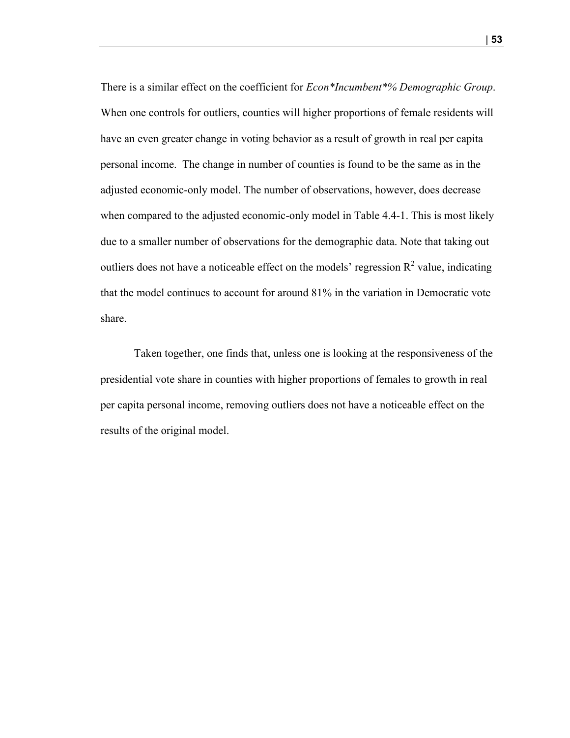There is a similar effect on the coefficient for *Econ\*Incumbent\*% Demographic Group*. When one controls for outliers, counties will higher proportions of female residents will have an even greater change in voting behavior as a result of growth in real per capita personal income. The change in number of counties is found to be the same as in the adjusted economic-only model. The number of observations, however, does decrease when compared to the adjusted economic-only model in Table 4.4-1. This is most likely due to a smaller number of observations for the demographic data. Note that taking out outliers does not have a noticeable effect on the models' regression  $R^2$  value, indicating that the model continues to account for around 81% in the variation in Democratic vote share.

Taken together, one finds that, unless one is looking at the responsiveness of the presidential vote share in counties with higher proportions of females to growth in real per capita personal income, removing outliers does not have a noticeable effect on the results of the original model.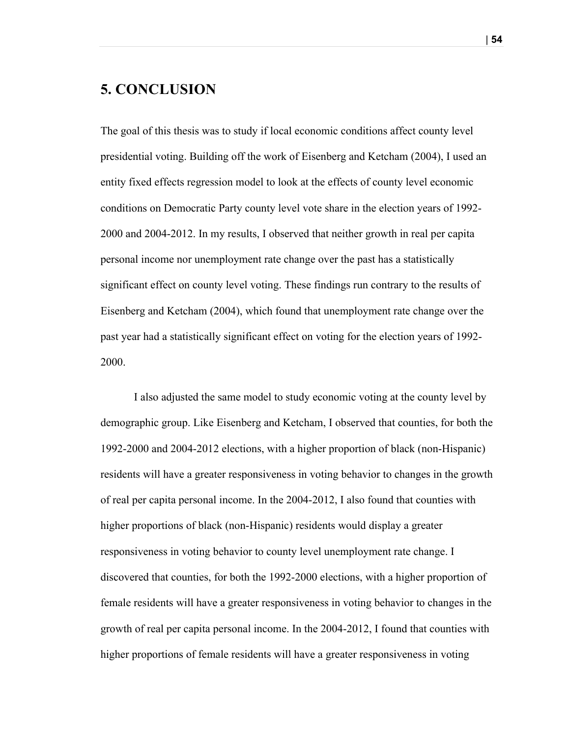# **5. CONCLUSION**

The goal of this thesis was to study if local economic conditions affect county level presidential voting. Building off the work of Eisenberg and Ketcham (2004), I used an entity fixed effects regression model to look at the effects of county level economic conditions on Democratic Party county level vote share in the election years of 1992- 2000 and 2004-2012. In my results, I observed that neither growth in real per capita personal income nor unemployment rate change over the past has a statistically significant effect on county level voting. These findings run contrary to the results of Eisenberg and Ketcham (2004), which found that unemployment rate change over the past year had a statistically significant effect on voting for the election years of 1992- 2000.

I also adjusted the same model to study economic voting at the county level by demographic group. Like Eisenberg and Ketcham, I observed that counties, for both the 1992-2000 and 2004-2012 elections, with a higher proportion of black (non-Hispanic) residents will have a greater responsiveness in voting behavior to changes in the growth of real per capita personal income. In the 2004-2012, I also found that counties with higher proportions of black (non-Hispanic) residents would display a greater responsiveness in voting behavior to county level unemployment rate change. I discovered that counties, for both the 1992-2000 elections, with a higher proportion of female residents will have a greater responsiveness in voting behavior to changes in the growth of real per capita personal income. In the 2004-2012, I found that counties with higher proportions of female residents will have a greater responsiveness in voting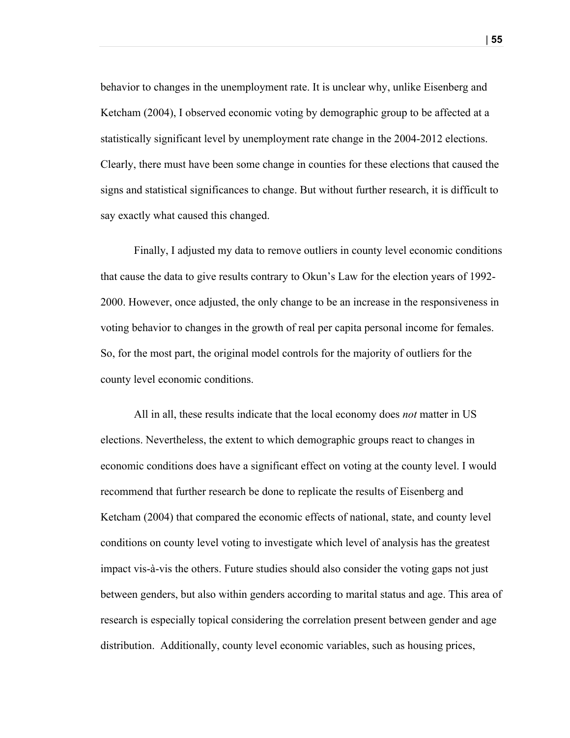behavior to changes in the unemployment rate. It is unclear why, unlike Eisenberg and Ketcham (2004), I observed economic voting by demographic group to be affected at a statistically significant level by unemployment rate change in the 2004-2012 elections. Clearly, there must have been some change in counties for these elections that caused the signs and statistical significances to change. But without further research, it is difficult to say exactly what caused this changed.

Finally, I adjusted my data to remove outliers in county level economic conditions that cause the data to give results contrary to Okun's Law for the election years of 1992- 2000. However, once adjusted, the only change to be an increase in the responsiveness in voting behavior to changes in the growth of real per capita personal income for females. So, for the most part, the original model controls for the majority of outliers for the county level economic conditions.

All in all, these results indicate that the local economy does *not* matter in US elections. Nevertheless, the extent to which demographic groups react to changes in economic conditions does have a significant effect on voting at the county level. I would recommend that further research be done to replicate the results of Eisenberg and Ketcham (2004) that compared the economic effects of national, state, and county level conditions on county level voting to investigate which level of analysis has the greatest impact vis-à-vis the others. Future studies should also consider the voting gaps not just between genders, but also within genders according to marital status and age. This area of research is especially topical considering the correlation present between gender and age distribution. Additionally, county level economic variables, such as housing prices,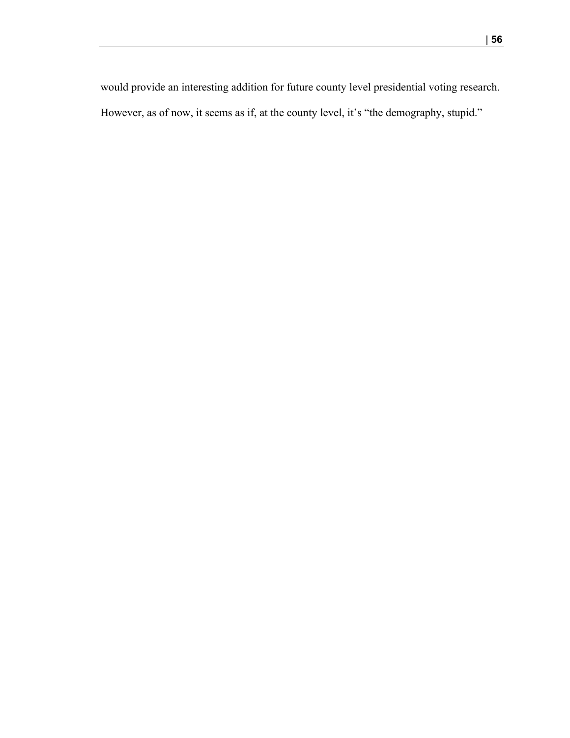would provide an interesting addition for future county level presidential voting research. However, as of now, it seems as if, at the county level, it's "the demography, stupid."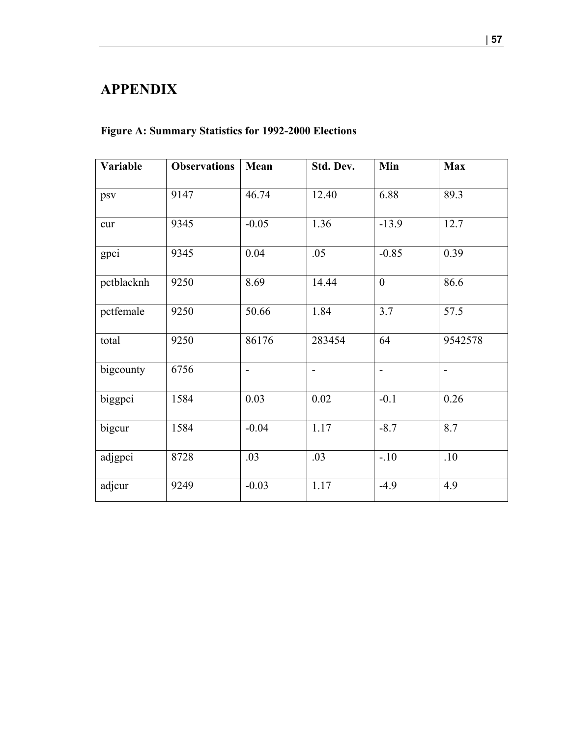# **APPENDIX**

# **Figure A: Summary Statistics for 1992-2000 Elections**

| Variable   | <b>Observations</b> | Mean           | Std. Dev.                | Min                      | <b>Max</b>     |
|------------|---------------------|----------------|--------------------------|--------------------------|----------------|
| psv        | 9147                | 46.74          | 12.40                    | 6.88                     | 89.3           |
| cur        | 9345                | $-0.05$        | 1.36                     | $-13.9$                  | 12.7           |
| gpci       | 9345                | 0.04           | .05                      | $-0.85$                  | 0.39           |
| pctblacknh | 9250                | 8.69           | 14.44                    | $\mathbf{0}$             | 86.6           |
| pctfemale  | 9250                | 50.66          | 1.84                     | 3.7                      | 57.5           |
| total      | 9250                | 86176          | 283454                   | 64                       | 9542578        |
| bigcounty  | 6756                | $\overline{a}$ | $\overline{\phantom{a}}$ | $\overline{\phantom{a}}$ | $\blacksquare$ |
| biggpci    | 1584                | 0.03           | 0.02                     | $-0.1$                   | 0.26           |
| bigcur     | 1584                | $-0.04$        | 1.17                     | $-8.7$                   | 8.7            |
| adjgpci    | 8728                | .03            | .03                      | $-.10$                   | .10            |
| adjcur     | 9249                | $-0.03$        | 1.17                     | $-4.9$                   | 4.9            |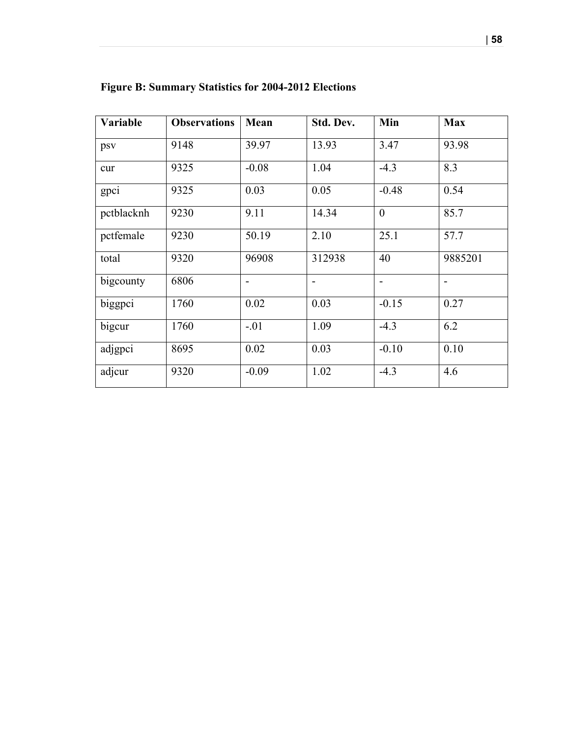| Variable   | <b>Observations</b> | Mean                     | Std. Dev.      | Min          | <b>Max</b>     |
|------------|---------------------|--------------------------|----------------|--------------|----------------|
| psv        | 9148                | 39.97                    | 13.93          | 3.47         | 93.98          |
| cur        | 9325                | $-0.08$                  | 1.04           | $-4.3$       | 8.3            |
| gpci       | 9325                | 0.03                     | 0.05           | $-0.48$      | 0.54           |
| pctblacknh | 9230                | 9.11                     | 14.34          | $\mathbf{0}$ | 85.7           |
| pctfemale  | 9230                | 50.19                    | 2.10           | 25.1         | 57.7           |
| total      | 9320                | 96908                    | 312938         | 40           | 9885201        |
| bigcounty  | 6806                | $\overline{\phantom{a}}$ | $\blacksquare$ |              | $\blacksquare$ |
| biggpci    | 1760                | 0.02                     | 0.03           | $-0.15$      | 0.27           |
| bigcur     | 1760                | $-.01$                   | 1.09           | $-4.3$       | 6.2            |
| adjgpci    | 8695                | 0.02                     | 0.03           | $-0.10$      | 0.10           |
| adjcur     | 9320                | $-0.09$                  | 1.02           | $-4.3$       | 4.6            |

# **Figure B: Summary Statistics for 2004-2012 Elections**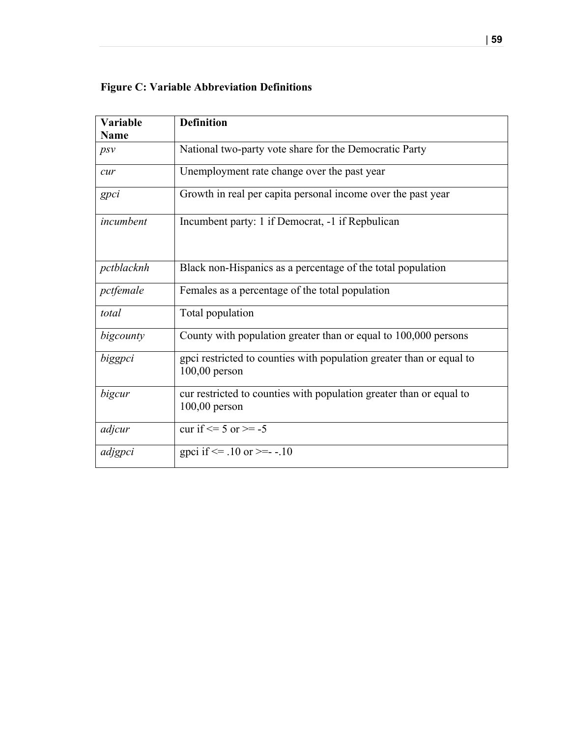# **Figure C: Variable Abbreviation Definitions**

| Variable    | <b>Definition</b>                                                                       |
|-------------|-----------------------------------------------------------------------------------------|
| <b>Name</b> |                                                                                         |
| psv         | National two-party vote share for the Democratic Party                                  |
| cur         | Unemployment rate change over the past year                                             |
| gpci        | Growth in real per capita personal income over the past year                            |
| incumbent   | Incumbent party: 1 if Democrat, -1 if Repbulican                                        |
| pctblacknh  | Black non-Hispanics as a percentage of the total population                             |
| pctfemale   | Females as a percentage of the total population                                         |
| total       | Total population                                                                        |
| bigcounty   | County with population greater than or equal to 100,000 persons                         |
| biggpci     | gpci restricted to counties with population greater than or equal to<br>$100,00$ person |
| bigcur      | cur restricted to counties with population greater than or equal to<br>$100,00$ person  |
| adjcur      | cur if $\leq 5$ or $\geq -5$                                                            |
| adjgpci     | gpci if $\le$ -10 or $\ge$ - -10                                                        |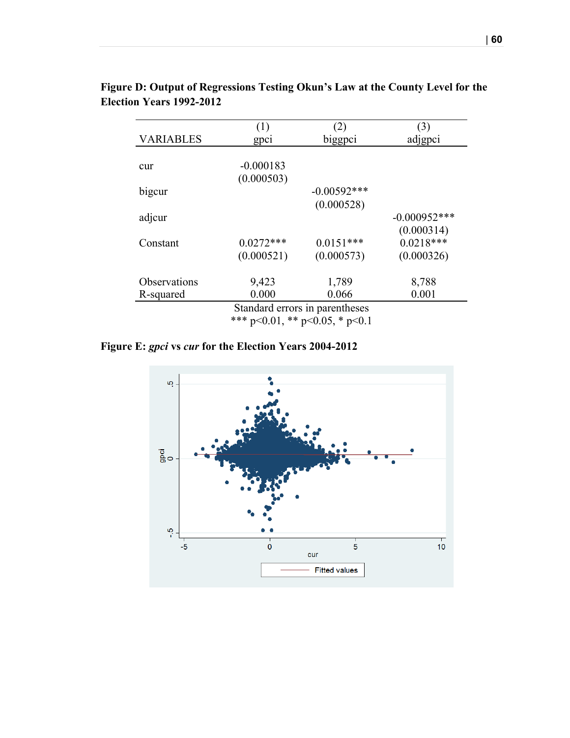|                                 | Figure D: Output of Regressions Testing Okun's Law at the County Level for the |  |
|---------------------------------|--------------------------------------------------------------------------------|--|
| <b>Election Years 1992-2012</b> |                                                                                |  |

|                                | (1)         | (2)            | 3)             |  |  |  |  |
|--------------------------------|-------------|----------------|----------------|--|--|--|--|
| <b>VARIABLES</b>               | gpci        | biggpci        | adjgpci        |  |  |  |  |
|                                |             |                |                |  |  |  |  |
| cur                            | $-0.000183$ |                |                |  |  |  |  |
|                                | (0.000503)  |                |                |  |  |  |  |
| bigcur                         |             | $-0.00592$ *** |                |  |  |  |  |
|                                |             | (0.000528)     |                |  |  |  |  |
| adjcur                         |             |                | $-0.000952***$ |  |  |  |  |
|                                |             |                | (0.000314)     |  |  |  |  |
| Constant                       | $0.0272***$ | $0.0151***$    | $0.0218***$    |  |  |  |  |
|                                | (0.000521)  | (0.000573)     | (0.000326)     |  |  |  |  |
| Observations                   | 9,423       | 1,789          | 8,788          |  |  |  |  |
| R-squared                      | 0.000       | 0.066          | 0.001          |  |  |  |  |
| Standard errors in parentheses |             |                |                |  |  |  |  |
| المستورث والمناسب والمرابطة    |             |                |                |  |  |  |  |

\*\*\* p<0.01, \*\* p<0.05, \* p<0.1

**Figure E:** *gpci* **vs** *cur* **for the Election Years 2004-2012**

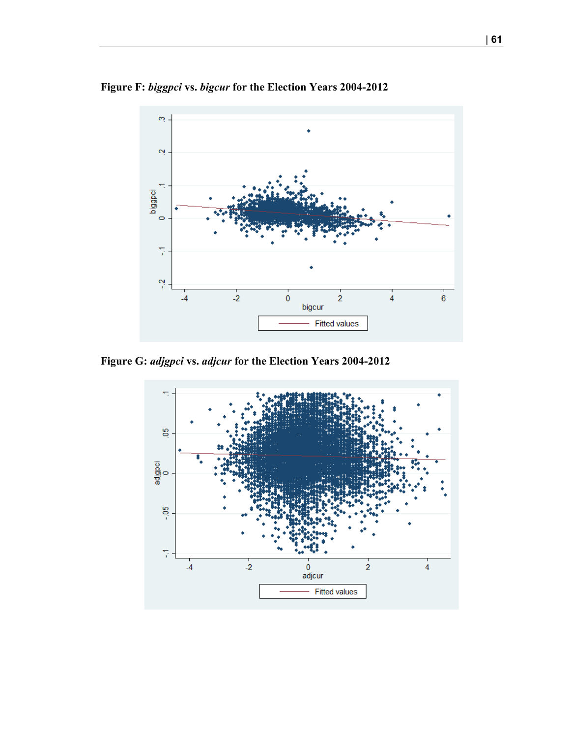



**Figure G:** *adjgpci* **vs.** *adjcur* **for the Election Years 2004-2012**

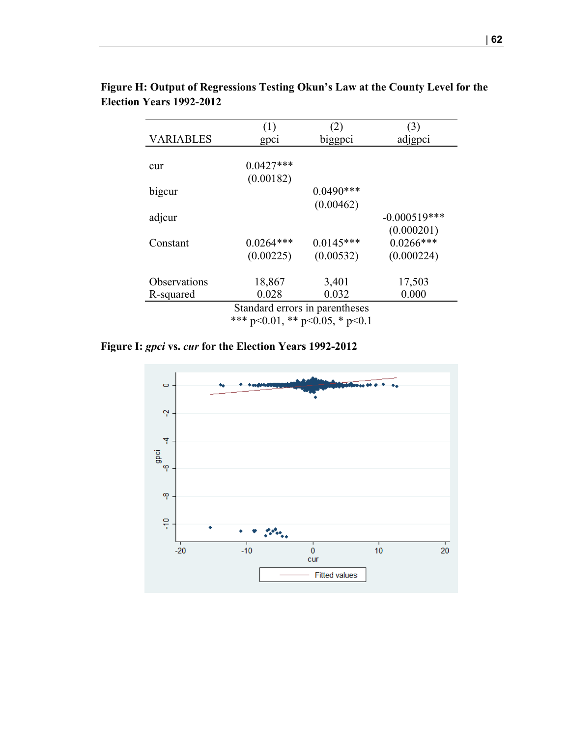|                                | (1)         | (2)         | (3)            |  |  |  |  |
|--------------------------------|-------------|-------------|----------------|--|--|--|--|
| <b>VARIABLES</b>               | gpci        | biggpci     | adjgpci        |  |  |  |  |
|                                |             |             |                |  |  |  |  |
| cur                            | $0.0427***$ |             |                |  |  |  |  |
|                                | (0.00182)   |             |                |  |  |  |  |
| bigcur                         |             | $0.0490***$ |                |  |  |  |  |
|                                |             | (0.00462)   |                |  |  |  |  |
| adjcur                         |             |             | $-0.000519***$ |  |  |  |  |
|                                |             |             | (0.000201)     |  |  |  |  |
| Constant                       | $0.0264***$ | $0.0145***$ | $0.0266***$    |  |  |  |  |
|                                | (0.00225)   | (0.00532)   | (0.000224)     |  |  |  |  |
| Observations                   | 18,867      | 3,401       | 17,503         |  |  |  |  |
| R-squared                      | 0.028       | 0.032       | 0.000          |  |  |  |  |
| Standard errors in parentheses |             |             |                |  |  |  |  |
|                                |             |             |                |  |  |  |  |

# **Figure H: Output of Regressions Testing Okun's Law at the County Level for the Election Years 1992-2012**

\*\*\* p<0.01, \*\* p<0.05, \* p<0.1

# **Figure I:** *gpci* **vs.** *cur* **for the Election Years 1992-2012**

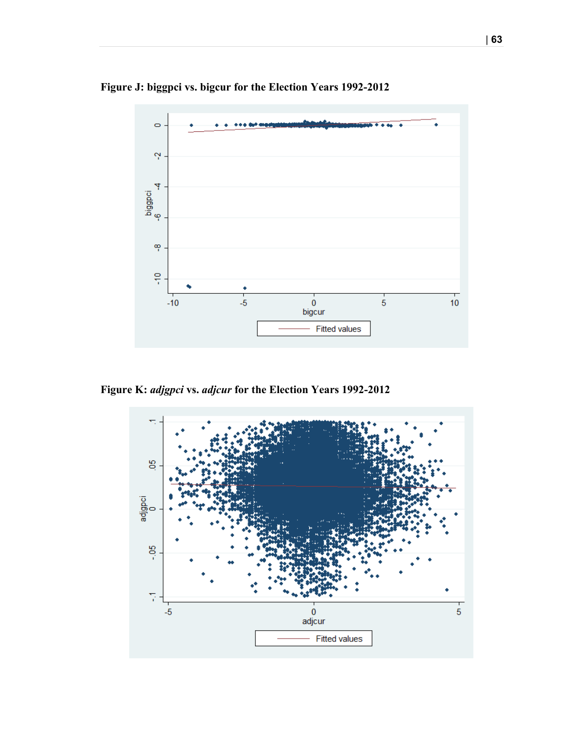

**Figure J: biggpci vs. bigcur for the Election Years 1992-2012**

**Figure K:** *adjgpci* **vs.** *adjcur* **for the Election Years 1992-2012**

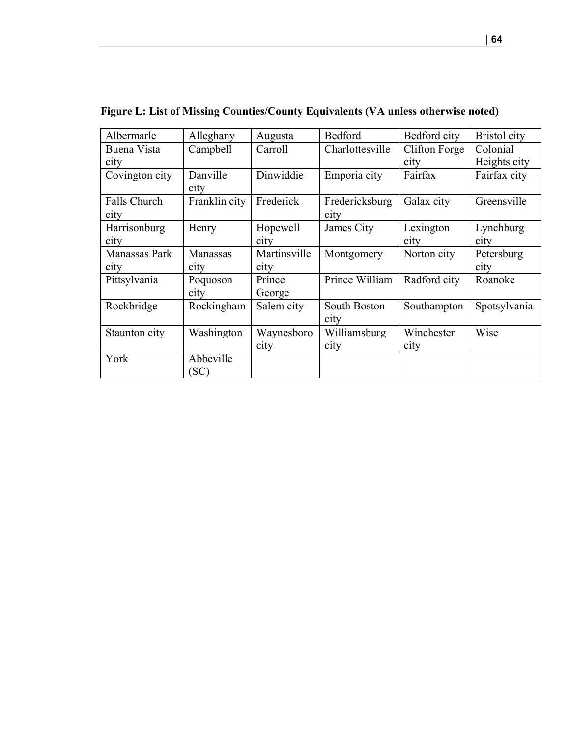| Albermarle          | Alleghany     | Augusta      | Bedford         | Bedford city  | Bristol city |
|---------------------|---------------|--------------|-----------------|---------------|--------------|
| Buena Vista         | Campbell      | Carroll      | Charlottesville | Clifton Forge | Colonial     |
| city                |               |              |                 | city          | Heights city |
| Covington city      | Danville      | Dinwiddie    | Emporia city    | Fairfax       | Fairfax city |
|                     | city          |              |                 |               |              |
| <b>Falls Church</b> | Franklin city | Frederick    | Fredericksburg  | Galax city    | Greensville  |
| city                |               |              | city            |               |              |
| Harrisonburg        | Henry         | Hopewell     | James City      | Lexington     | Lynchburg    |
| city                |               | city         |                 | city          | city         |
| Manassas Park       | Manassas      | Martinsville | Montgomery      | Norton city   | Petersburg   |
| city                | city          | city         |                 |               | city         |
| Pittsylvania        | Poquoson      | Prince       | Prince William  | Radford city  | Roanoke      |
|                     | city          | George       |                 |               |              |
| Rockbridge          | Rockingham    | Salem city   | South Boston    | Southampton   | Spotsylvania |
|                     |               |              | city            |               |              |
| Staunton city       | Washington    | Waynesboro   | Williamsburg    | Winchester    | Wise         |
|                     |               | city         | city            | city          |              |
| York                | Abbeville     |              |                 |               |              |
|                     | (SC)          |              |                 |               |              |

**Figure L: List of Missing Counties/County Equivalents (VA unless otherwise noted)**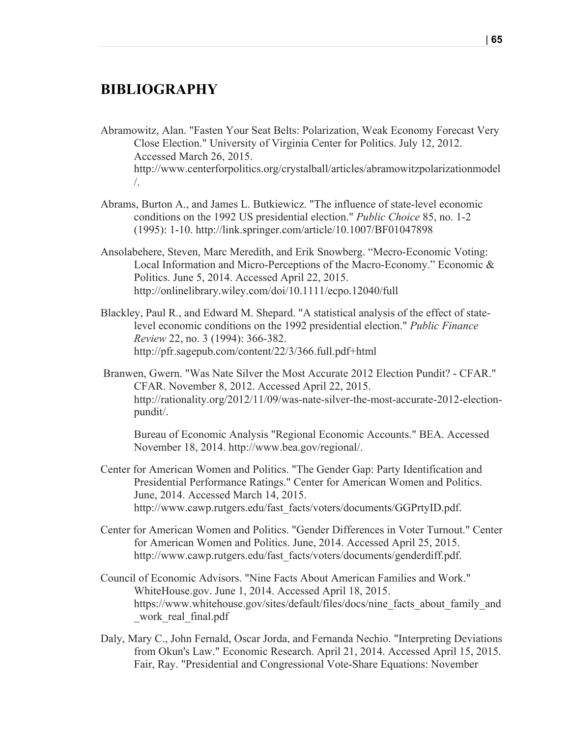# **BIBLIOGRAPHY**

Abramowitz, Alan. "Fasten Your Seat Belts: Polarization, Weak Economy Forecast Very Close Election." University of Virginia Center for Politics. July 12, 2012. Accessed March 26, 2015. http://www.centerforpolitics.org/crystalball/articles/abramowitzpolarizationmodel /.

- Abrams, Burton A., and James L. Butkiewicz. "The influence of state-level economic conditions on the 1992 US presidential election." *Public Choice* 85, no. 1-2 (1995): 1-10. http://link.springer.com/article/10.1007/BF01047898
- Ansolabehere, Steven, Marc Meredith, and Erik Snowberg. "Mecro-Economic Voting: Local Information and Micro-Perceptions of the Macro-Economy." Economic & Politics. June 5, 2014. Accessed April 22, 2015. http://onlinelibrary.wiley.com/doi/10.1111/ecpo.12040/full
- Blackley, Paul R., and Edward M. Shepard. "A statistical analysis of the effect of statelevel economic conditions on the 1992 presidential election." *Public Finance Review* 22, no. 3 (1994): 366-382. http://pfr.sagepub.com/content/22/3/366.full.pdf+html
- Branwen, Gwern. "Was Nate Silver the Most Accurate 2012 Election Pundit? CFAR." CFAR. November 8, 2012. Accessed April 22, 2015. http://rationality.org/2012/11/09/was-nate-silver-the-most-accurate-2012-electionpundit/.

Bureau of Economic Analysis "Regional Economic Accounts." BEA. Accessed November 18, 2014. http://www.bea.gov/regional/.

- Center for American Women and Politics. "The Gender Gap: Party Identification and Presidential Performance Ratings." Center for American Women and Politics. June, 2014. Accessed March 14, 2015. http://www.cawp.rutgers.edu/fast\_facts/voters/documents/GGPrtyID.pdf.
- Center for American Women and Politics. "Gender Differences in Voter Turnout." Center for American Women and Politics. June, 2014. Accessed April 25, 2015. http://www.cawp.rutgers.edu/fast\_facts/voters/documents/genderdiff.pdf.
- Council of Economic Advisors. "Nine Facts About American Families and Work." WhiteHouse.gov. June 1, 2014. Accessed April 18, 2015. https://www.whitehouse.gov/sites/default/files/docs/nine\_facts\_about\_family\_and work real final.pdf
- Daly, Mary C., John Fernald, Oscar Jorda, and Fernanda Nechio. "Interpreting Deviations from Okun's Law." Economic Research. April 21, 2014. Accessed April 15, 2015. Fair, Ray. "Presidential and Congressional Vote-Share Equations: November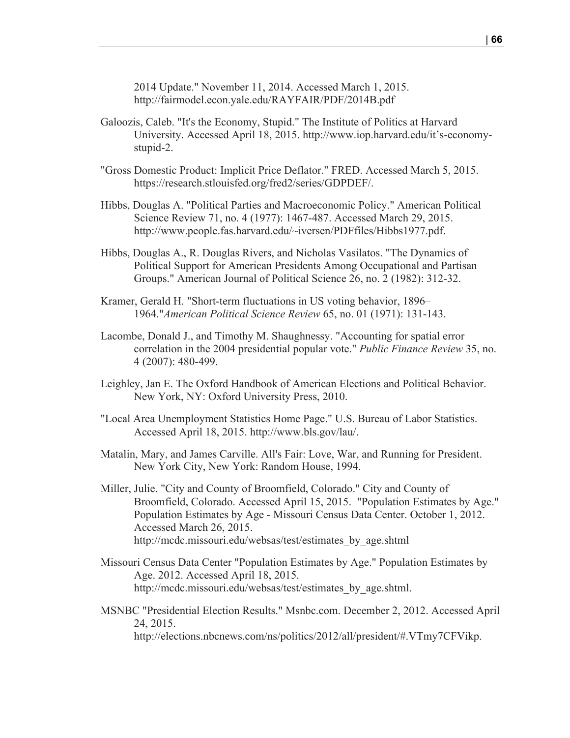2014 Update." November 11, 2014. Accessed March 1, 2015. http://fairmodel.econ.yale.edu/RAYFAIR/PDF/2014B.pdf

- Galoozis, Caleb. "It's the Economy, Stupid." The Institute of Politics at Harvard University. Accessed April 18, 2015. http://www.iop.harvard.edu/it's-economystupid-2.
- "Gross Domestic Product: Implicit Price Deflator." FRED. Accessed March 5, 2015. https://research.stlouisfed.org/fred2/series/GDPDEF/.
- Hibbs, Douglas A. "Political Parties and Macroeconomic Policy." American Political Science Review 71, no. 4 (1977): 1467-487. Accessed March 29, 2015. http://www.people.fas.harvard.edu/~iversen/PDFfiles/Hibbs1977.pdf.
- Hibbs, Douglas A., R. Douglas Rivers, and Nicholas Vasilatos. "The Dynamics of Political Support for American Presidents Among Occupational and Partisan Groups." American Journal of Political Science 26, no. 2 (1982): 312-32.
- Kramer, Gerald H. "Short-term fluctuations in US voting behavior, 1896– 1964."*American Political Science Review* 65, no. 01 (1971): 131-143.
- Lacombe, Donald J., and Timothy M. Shaughnessy. "Accounting for spatial error correlation in the 2004 presidential popular vote." *Public Finance Review* 35, no. 4 (2007): 480-499.
- Leighley, Jan E. The Oxford Handbook of American Elections and Political Behavior. New York, NY: Oxford University Press, 2010.
- "Local Area Unemployment Statistics Home Page." U.S. Bureau of Labor Statistics. Accessed April 18, 2015. http://www.bls.gov/lau/.
- Matalin, Mary, and James Carville. All's Fair: Love, War, and Running for President. New York City, New York: Random House, 1994.
- Miller, Julie. "City and County of Broomfield, Colorado." City and County of Broomfield, Colorado. Accessed April 15, 2015. "Population Estimates by Age." Population Estimates by Age - Missouri Census Data Center. October 1, 2012. Accessed March 26, 2015. http://mcdc.missouri.edu/websas/test/estimates\_by\_age.shtml
- Missouri Census Data Center "Population Estimates by Age." Population Estimates by Age. 2012. Accessed April 18, 2015. http://mcdc.missouri.edu/websas/test/estimates by age.shtml.
- MSNBC "Presidential Election Results." Msnbc.com. December 2, 2012. Accessed April 24, 2015. http://elections.nbcnews.com/ns/politics/2012/all/president/#.VTmy7CFVikp.